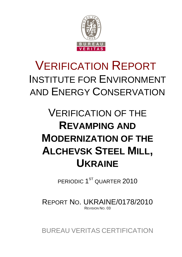

# VERIFICATION REPORT INSTITUTE FOR ENVIRONMENT AND ENERGY CONSERVATION

# VERIFICATION OF THE **REVAMPING AND MODERNIZATION OF THE ALCHEVSK STEEL MILL, UKRAINE**

PERIODIC  $1^{\text{ST}}$  QUARTER  $2010$ 

REPORT NO. UKRAINE/0178/2010 REVISION NO. 03

BUREAU VERITAS CERTIFICATION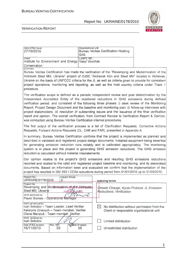

#### VERIFICATION REPORT

| Organizational unit:<br><b>Bureau Veritas Certification Holding</b><br><b>SAS</b> |
|-----------------------------------------------------------------------------------|
| <b>Client ret.:</b><br>Institute for Environment and Energy   Vasyl Vovchak       |
|                                                                                   |
|                                                                                   |

Bureau Veritas Certification has made the verification of the "Revamping and Modernization of the Alchevsk Steel Mill, Ukraine" project of OJSC "Alchevsk Iron and Steel Mill" located in Alchevsk, Ukraine on the basis of UNFCCC criteria for the JI, as well as criteria given to provide for consistent project operations, monitoring and reporting, as well as the host country criteria under Track 1 procedure.

The verification scope is defined as a periodic independent review and post determination by the Independent Accredited Entity of the monitored reductions in GHG emissions during defined verification period, and consisted of the following three phases: i) desk review of the Monitoring Report, Project Design Document and the baseline and monitoring plan; ii) follow-up interviews with project stakeholders; iii) resolution of outstanding issues and the issuance of the final verification report and opinion. The overall verification, from Contract Review to Verification Report & Opinion, was conducted using Bureau Veritas Certification internal procedures.

The first output of the verification process is a list of Clarification Requests, Corrective Actions Requests, Forward Actions Requests (CL, CAR and FAR), presented in Appendix A.

In summary, Bureau Veritas Certification confirms that the project is implemented as planned and described in validated and registered project design documents. Installed equipment being essential for generating emission reduction runs reliably and is calibrated appropriately. The monitoring system is in place and the project is generating GHG emission reductions. The GHG emission reduction is calculated without material misstatements.

Our opinion relates to the project's GHG emissions and resulting GHG emissions reductions reported and related to the valid and registered project baseline and monitoring, and its associated documents. Based on information seen and evaluated we confirm that the implementation of the project has resulted in 292 553 t CO2e reductions during period from 01/01/2010 up to 31/03/2010.

| Report No.:<br>Subject Group:<br>UKRAINE/0178/2010<br>. 11                                                                                                                                    | Indexing terms                                                                           |
|-----------------------------------------------------------------------------------------------------------------------------------------------------------------------------------------------|------------------------------------------------------------------------------------------|
| Project title:<br>Revamping and Modernization of the Alchevskin<br>Steel Mill, Ukraine<br>mvil<br>Work approved by:                                                                           | Climate Change, Kyoto Protocol, JI, Emission<br>Reductions, Verification                 |
| Flavio Gomes - Operational Manager<br>Work carried out by:<br>Ivan Sokolov - Team Leader, Lead Verifier<br>Kateryna Zinevych - Team member, Verifier<br>Olena Manziuk - Team member, Verifier | No distribution without permission from the<br>Client or responsible organizational unit |
| Work reviewed by:<br>Ivan Sokolov                                                                                                                                                             | Limited distribution                                                                     |
| $Rev. N6$ .<br>Date of this revision:<br>Number of pages:<br>16/11/2010<br>03<br>56                                                                                                           | Unrestricted distribution                                                                |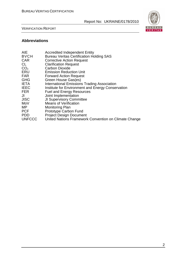

VERIFICATION REPORT

# **Abbreviations**

| <b>AIE</b>      | <b>Accredited Independent Entity</b>                  |
|-----------------|-------------------------------------------------------|
| <b>BVCH</b>     | <b>Bureau Veritas Certification Holding SAS</b>       |
| <b>CAR</b>      | <b>Corrective Action Request</b>                      |
| CL              | <b>Clarification Request</b>                          |
| CO <sub>2</sub> | <b>Carbon Dioxide</b>                                 |
| <b>ERU</b>      | <b>Emission Reduction Unit</b>                        |
| <b>FAR</b>      | <b>Forward Action Request</b>                         |
| <b>GHG</b>      | Green House Gas(es)                                   |
| <b>IETA</b>     | International Emissions Trading Association           |
| <b>IEEC</b>     | Institute for Environment and Energy Conservation     |
| <b>FER</b>      | <b>Fuel and Energy Resources</b>                      |
| JI              | Joint Implementation                                  |
| <b>JISC</b>     | <b>JI Supervisory Committee</b>                       |
| MoV             | <b>Means of Verification</b>                          |
| МP              | <b>Monitoring Plan</b>                                |
| <b>PCF</b>      | <b>Prototype Carbon Fund</b>                          |
| <b>PDD</b>      | <b>Project Design Document</b>                        |
| <b>UNFCCC</b>   | United Nations Framework Convention on Climate Change |
|                 |                                                       |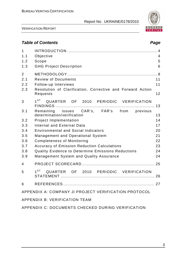

VERIFICATION REPORT

# **Table of Contents Page 2018**

| $\mathbf{1}$<br>1.1<br>1.2<br>1.3                    | Objective<br>Scope<br><b>GHG Project Description</b>                                                                         | $\overline{4}$<br>5<br>6 |  |
|------------------------------------------------------|------------------------------------------------------------------------------------------------------------------------------|--------------------------|--|
| $\overline{2}$<br>2.1<br>2.2<br>2.3                  | <b>Review of Documents</b><br>Follow-up Interviews<br>Resolution of Clarification, Corrective and Forward Action<br>Requests | 11<br>11<br>12           |  |
| 3                                                    | $1^{ST}$<br>QUARTER OF 2010 PERIODIC VERIFICATION                                                                            | 13                       |  |
| 3.1                                                  | Remaining issues CAR's, FAR's from previous<br>determination/verification                                                    | 13                       |  |
| 3.2                                                  | <b>Project Implementation</b>                                                                                                | 14                       |  |
| 3.3                                                  | <b>Internal and External Data</b>                                                                                            | 17                       |  |
| 3.4                                                  | <b>Environmental and Social Indicators</b><br>20                                                                             |                          |  |
| 3.5                                                  | Management and Operational System                                                                                            | 21                       |  |
| 3.6                                                  | <b>Completeness of Monitoring</b>                                                                                            | 22                       |  |
| 3.7                                                  | <b>Accuracy of Emission Reduction Calculations</b><br>23                                                                     |                          |  |
| 3.8                                                  | <b>Quality Evidence to Determine Emissions Reductions</b>                                                                    | 24                       |  |
| 3.9                                                  | Management System and Quality Assurance                                                                                      | 24                       |  |
| 4                                                    |                                                                                                                              |                          |  |
| 5                                                    | $1^{ST}$<br>QUARTER OF 2010 PERIODIC VERIFICATION                                                                            |                          |  |
| 6                                                    |                                                                                                                              |                          |  |
| APPENDIX A: COMPANY JI PROJECT VERIFICATION PROTOCOL |                                                                                                                              |                          |  |
| <b>APPENDIX B: VERIFICATION TEAM</b>                 |                                                                                                                              |                          |  |
| APPENDIX C: DOCUMENTS CHECKED DURING VERIFICATION    |                                                                                                                              |                          |  |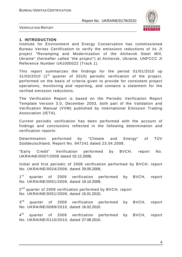

VERIFICATION REPORT

#### **1. INTRODUCTION**

Institute for Environment and Energy Conservation has commissioned Bureau Veritas Certification to verify the emissions reductions of its JI project "Revamping and Modernization of the Alchevsk Steel Mill, Ukraine" (hereafter called "the project") at Alchevsk, Ukraine, UNFCCC JI Reference Number UA1000022 (Track 1).

This report summarizes the findings for the period 01/01/2010 up  $31/03/2010$  (1<sup>st</sup> quarter of 2010) periodic verification of the project, performed on the basis of criteria given to provide for consistent project operations, monitoring and reporting, and contains a statement for the verified emission reductions.

The Verification Report is based on the Periodic Verification Report Template Version 3.0, December 2003, both part of the Validation and Verification Manual (VVM) published by International Emission Trading Association (IETA).

Current periodic verification has been performed with the account of findings and conclusions reflected in the following determination and verification reports:

Determination performed by "Climate and Energy" of TÜV Süddeutschland, Report No. 947241 dated 23.04.2008.

"Early Credit" Verification performed by BVCH, report No. UKRAINE/0007/2008 dated 02.12.2008,

Initial and first periodic of 2008 verification performed by BVCH, report No. UKRAINE/0024/2008, dated 29.05.2009,

 $1<sup>st</sup>$ quarter of 2009 verification performed by BVCH, report No. UKRAINE/0051/2009, dated 19.10.2009,

2<sup>nd</sup> quarter of 2009 verification performed by BVCH, report No. UKRAINE/0051/2009, dated 15.01.2010,

 $3<sup>rd</sup>$ quarter of 2009 verification performed by BVCH, report No. UKRAINE/0089/2010, dated 16.02.2010.

 $4^{\text{th}}$ quarter of 2009 verification performed by BVCH, report No. UKRAINE/0110/2010, dated 27.08.2010.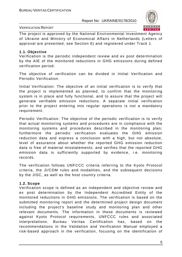#### VERIFICATION REPORT



The project is approved by the National Environmental Investment Agency of Ukraine and Ministry of Economical Affairs in Netherlands (Letters of approval are presented, see Section 6) and registered under Track 1.

#### **1.1. Objective**

Verification is the periodic independent review and ex post determination by the AIE of the monitored reductions in GHG emissions during defined verification period.

The objective of verification can be divided in Initial Verification and Periodic Verification.

Initial Verification: The objective of an initial verification is to verify that the project is implemented as planned, to confirm that the monitoring system is in place and fully functional, and to assure that the project will generate verifiable emission reductions. A separate initial verification prior to the project entering into regular operations is not a mandatory requirement.

Periodic Verification: The objective of the periodic verification is to verify that actual monitoring systems and procedures are in compliance with the monitoring systems and procedures described in the monitoring plan; furthermore the periodic verification evaluates the GHG emission reduction data and express a conclusion with a high, but not absolute, level of assurance about whether the reported GHG emission reduction data is free of material misstatements; and verifies that the reported GHG emission data is sufficiently supported by evidence, i.e. monitoring records.

The verification follows UNFCCC criteria referring to the Kyoto Protocol criteria, the JI/CDM rules and modalities, and the subsequent decisions by the JISC, as well as the host country criteria.

#### **1.2. Scope**

Verification scope is defined as an independent and objective review and ex post determination by the Independent Accredited Entity of the monitored reductions in GHG emissions. The verification is based on the submitted monitoring report and the determined project design document including the project's baseline study and monitoring plan and other relevant documents. The information in these documents is reviewed against Kyoto Protocol requirements, UNFCCC rules and associated interpretations. Bureau Veritas Certification has, based on the recommendations in the Validation and Verification Manual employed a risk-based approach in the verification, focusing on the identification of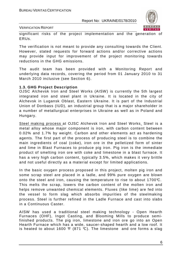

VERIFICATION REPORT

significant risks of the project implementation and the generation of ERUs.

The verification is not meant to provide any consulting towards the Client. However, stated requests for forward actions and/or corrective actions may provide input for improvement of the project monitoring towards reductions in the GHG emissions.

The audit team has been provided with a Monitoring Report and underlying data records, covering the period from 01 January 2010 to 31 March 2010 inclusive (see Section 6).

#### **1.3. GHG Project Description**

OJSC Alchevsk Iron and Steel Works (AISW) is currently the 5th largest integrated iron and steel plant in Ukraine. It is located in the city of Alchevsk in Lugansk Oblast, Eastern Ukraine. It is part of the Industrial Union of Donbass (IUD), an industrial group that is a major shareholder in a number of metallurgical enterprises in Ukraine as well as in Poland and Hungary.

Steel making process at OJSC Alchevsk Iron and Steel Works. Steel is a metal alloy whose major component is iron, with carbon content between 0.02% and 1.7% by weight. Carbon and other elements act as hardening agents. The first part of the process of producing steel is to combine the main ingredients of coal (coke), iron ore in the pelletized form of sinter and lime in Blast Furnaces to produce pig iron. Pig iron is the immediate product of smelting iron ore with coke and limestone in a blast furnace. It has a very high carbon content, typically 3.5%, which makes it very brittle and not useful directly as a material except for limited applications.

In the basic oxygen process proposed in this project, molten pig iron and some scrap steel are placed in a ladle, and 99% pure oxygen are blown onto the steel and iron, causing the temperature to rise to about 1700°C. This melts the scrap, lowers the carbon content of the molten iron and helps remove unwanted chemical elements. Fluxes (like lime) are fed into the vessel to form slag which absorbs impurities of the steelmaking process. Steel is further refined in the Ladle Furnace and cast into slabs in a Continuous Caster.

AISW has used a traditional steel making technology - Open Hearth Furnaces (OHF), Ingot Casting, and Blooming Mills to produce semifinished products. The pig iron, limestone and iron ore go into an Open Hearth Furnace which has a wide, saucer-shaped hearth and a low roof. It is heated to about 1600  $\mathcal{F}$  (871 °C). The limestone and ore forms a slag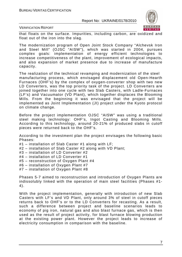

VERIFICATION REPORT

that floats on the surface. Impurities, including carbon, are oxidized and float out of the iron into the slag.

The modernization program of Open Joint Stock Company "Alchevsk Iron and Steel Mill" (OJSC "AISW"), which was started in 2004, pursues complex goals: implementation of energy efficient technologies to increase competitiveness of the plant, improvement of ecological impacts, and also expansion of market presence due to increase of manufacture capacity.

The realization of the technical revamping and modernization of the steel manufacturing process, which envisaged displacement old Open-Hearth Furnaces (OHF's) by the complex of oxygen-converter shop with two new LD Converters, was the top priority task of the project. LD Converters are joined together into one cycle with two Slab Casters, with Ladle-Furnaces (LF's) and Vacuumator (VD Plant), which together displaces the Blooming Mills. From the beginning it was envisaged that the project will be implemented as Joint Implementation (JI) project under the Kyoto protocol on climate change.

Before the project implementation OJSC "AISW" was using a traditional steel making technology: OHF's, Ingot Casting and Blooming Mills. According to this technology, around 20-21% of produced slabs in cutoff pieces were returned back to the OHF's.

According to the investment plan the project envisages the following basic Phases:

- #1 installation of Slab Caster #1 along with LF;
- #2 installation of Slab Caster #2 along with VD Plant;
- #3 installation of LD Converter #2
- #4 installation of LD Converter #1
- #5 reconstruction of Oxygen Plant #4
- #6 installation of Oxygen Plant #7
- #7 installation of Oxygen Plant #8

Phases 5-7 aimed to reconstruction and introduction of Oxygen Plants are indissolubly linked with the operation of main steel facilities (Phases #1- 4).

With the project implementation, generally with introduction of new Slab Casters with LF's and VD Plant, only around 3% of steel in cutoff pieces returns back to OHF's or to the LD Converters for recasting. As a result, such a difference between project and baseline scenarios leads to economy of pig iron, natural gas and also blast furnace gas, which is then used as the result of project activity, for blast furnace blowing production at the existing power plant. However the project leads to increase of electricity consumption in comparison with the baseline.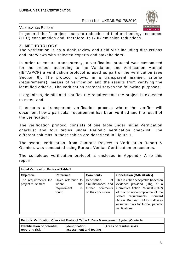

#### VERIFICATION REPORT

In general the JI project leads to reduction of fuel and energy resources (FER) consumption and, therefore, to GHG emission reductions.

#### **2. METHODOLOGY**

The verification is as a desk review and field visit including discussions and interviews with selected experts and stakeholders.

In order to ensure transparency, a verification protocol was customized for the project, according to the Validation and Verification Manual (IETA/PCF) a verification protocol is used as part of the verification (see Section 6). The protocol shows, in a transparent manner, criteria (requirements), means of verification and the results from verifying the identified criteria. The verification protocol serves the following purposes:

It organizes, details and clarifies the requirements the project is expected to meet; and

It ensures a transparent verification process where the verifier will document how a particular requirement has been verified and the result of the verification;

The verification protocol consists of one table under Initial Verification checklist and four tables under Periodic verification checklist. The different columns in these tables are described in Figure 1.

The overall verification, from Contract Review to Verification Report & Opinion, was conducted using Bureau Veritas Certification procedures.

The completed verification protocol is enclosed in Appendix A to this report.

| <b>Initial Verification Protocol Table 1</b> |                                                                    |                                                                                      |                                                                                                                                                                                                                                                                          |
|----------------------------------------------|--------------------------------------------------------------------|--------------------------------------------------------------------------------------|--------------------------------------------------------------------------------------------------------------------------------------------------------------------------------------------------------------------------------------------------------------------------|
| Objective                                    | <b>Reference</b>                                                   | <b>Comments</b>                                                                      | <b>Conclusion (CARs/FARs)</b>                                                                                                                                                                                                                                            |
| The requirements the<br>project must meet    | Gives reference to<br>where<br>the<br>requirement<br>is.<br>found. | Description<br>of l<br>circumstances and<br>further<br>comments<br>on the conclusion | This is either acceptable based on<br>evidence provided (OK), or a<br>Corrective Action Request (CAR)<br>of risk or non-compliance of the<br>requirements. Forward<br>stated<br>Action Request (FAR) indicates<br>essential risks for further periodic<br>verifications. |

| Periodic Verification Checklist Protocol Table 2: Data Management System/Controls |                                           |                         |
|-----------------------------------------------------------------------------------|-------------------------------------------|-------------------------|
| dentification of potential<br>reporting risk                                      | Identification.<br>assessment and testing | Areas of residual risks |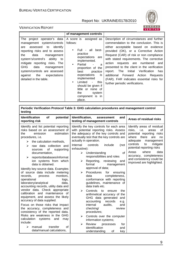

|                                                                                                                                                                                                                                                                                                                                                                | of management controls                                                                                                                                                                                                                                                                                                                      |                                                                                                                                                                                                                                                                                                                                                                                                                                                                                                                              |
|----------------------------------------------------------------------------------------------------------------------------------------------------------------------------------------------------------------------------------------------------------------------------------------------------------------------------------------------------------------|---------------------------------------------------------------------------------------------------------------------------------------------------------------------------------------------------------------------------------------------------------------------------------------------------------------------------------------------|------------------------------------------------------------------------------------------------------------------------------------------------------------------------------------------------------------------------------------------------------------------------------------------------------------------------------------------------------------------------------------------------------------------------------------------------------------------------------------------------------------------------------|
| The project operator's data<br>management system/controls<br>identify<br>assessed<br>to<br>are<br>reporting risks and to assess<br>the<br>data<br>management<br>system's/control's ability to<br>mitigate reporting risks. The<br><b>GHG</b><br>data<br>management<br>system/controls are assessed<br>against<br>the<br>expectations<br>detailed in the table. | A score is assigned as<br>follows:<br>Full - all best-<br>practice<br>expectations are<br>implemented.<br>Partial<br>a<br>$\bullet$<br>proportion of the<br>best<br>practice<br>expectations<br>İS.<br>implemented<br>Limited<br>this<br>$\bullet$<br>should be given if<br>little or none of<br>the<br>system<br>component is in<br>place. | Description of circumstances and further<br>commendation to the conclusion. This is<br>either acceptable based on evidence<br>provided (OK), or a Corrective Action<br>Request (CAR) of risk or non compliance<br>with stated requirements. The corrective<br>requests are numbered<br>action<br>and<br>presented to the client in the verification<br>Verification<br>Initial<br>report. The<br>has<br>additional Forward Action<br>Requests<br>(FAR). FAR indicates essential risks for<br>further periodic verifications. |

| <b>Identification</b><br><b>of</b><br>potential<br>Identification,<br>and<br>assessment<br>Areas of residual risks<br>reporting risk<br>testing of management controls<br>Identify and list potential reporting<br>Identify the key controls for each area<br>risks based on an assessment of<br>with potential reporting risks. Assess<br>risks,<br>i.e.<br>areas<br>the adequacy of the key controls and<br>the<br>emission<br>estimation<br>eventually test that the key controls are<br>there<br>procedures, <i>i.e.</i><br>where<br>are<br>actually in operation.<br>adequate<br>the calculation methods,<br>➤<br>controls<br>to<br>Internal<br>controls<br>include<br>(not<br>raw data collection and<br>↘<br>potential reporting risks<br>exhaustive):<br>of<br>supporting<br>sources<br>where<br>Areas<br>of<br>Understanding<br>documentation,<br>➤<br>responsibilities and roles<br>reports/databases/informat<br>➤<br>ion systems from which<br>Reporting,<br>reviewing<br>➤<br>and<br>data is obtained.<br>formal<br>management<br>approval of data;<br>Identify key source data. Examples<br>of source data include metering<br>Procedures<br>for<br>ensuring<br>⋗<br>monitors,<br>completeness,<br>records,<br>data<br>process<br>conformance with reporting<br>operational<br>logs,<br>laboratory/analytical<br>guidelines, maintenance of<br>data,<br>accounting records, utility data and<br>data trails etc.<br>vendor data. Check appropriate<br>Controls<br>⋗<br>to<br>ensure<br>the<br>calibration and maintenance of<br>arithmetical accuracy of the<br>equipment, and assess the likely<br>GHG data generated<br>and<br>accuracy of data supplied.<br>accounting<br>records<br>e.g.<br>Focus on those risks that impact<br>internal<br>audits.<br>and<br>the accuracy, completeness and<br>checking/<br>review<br>consistency of the reported data.<br>procedures; | Periodic Verification Protocol Table 3: GHG calculation procedures and management control<br>testing |  |                                                                                                                                                                                          |  |
|-------------------------------------------------------------------------------------------------------------------------------------------------------------------------------------------------------------------------------------------------------------------------------------------------------------------------------------------------------------------------------------------------------------------------------------------------------------------------------------------------------------------------------------------------------------------------------------------------------------------------------------------------------------------------------------------------------------------------------------------------------------------------------------------------------------------------------------------------------------------------------------------------------------------------------------------------------------------------------------------------------------------------------------------------------------------------------------------------------------------------------------------------------------------------------------------------------------------------------------------------------------------------------------------------------------------------------------------------------------------------------------------------------------------------------------------------------------------------------------------------------------------------------------------------------------------------------------------------------------------------------------------------------------------------------------------------------------------------------------------------------------------------------------------------------------------------------------------------------------------------------------------|------------------------------------------------------------------------------------------------------|--|------------------------------------------------------------------------------------------------------------------------------------------------------------------------------------------|--|
|                                                                                                                                                                                                                                                                                                                                                                                                                                                                                                                                                                                                                                                                                                                                                                                                                                                                                                                                                                                                                                                                                                                                                                                                                                                                                                                                                                                                                                                                                                                                                                                                                                                                                                                                                                                                                                                                                           |                                                                                                      |  |                                                                                                                                                                                          |  |
| Controls over the computer<br>⋗<br>calculation<br>systems<br>and<br>may<br>information systems;<br>include:<br>Review<br>⋗<br>processes<br>for<br>transfer<br>↘<br>0f<br>manual<br>identification<br>and                                                                                                                                                                                                                                                                                                                                                                                                                                                                                                                                                                                                                                                                                                                                                                                                                                                                                                                                                                                                                                                                                                                                                                                                                                                                                                                                                                                                                                                                                                                                                                                                                                                                                  | Risks are weakness in the GHG                                                                        |  | Identify areas of residual<br>οf<br>potential reporting risks<br>no<br>management<br>mitigate<br>data<br>accuracy, completeness<br>and consistency could be<br>improved are highlighted. |  |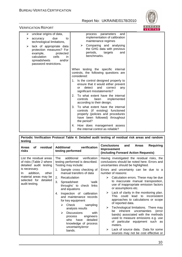

### VERIFICATION REPORT

| unclear origins of data,<br>➤<br>due<br>accuracy<br>➤<br>to<br>technological limitations,<br>lack of appropriate data<br>➤<br>protection measures? For<br>example,<br>protected<br>calculation<br>cells<br>in.<br>and/or<br>spreadsheets<br>password restrictions. | and<br>parameters<br>process<br>implementation of calibration<br>maintenance regimes<br>Comparing and analysing<br>➤<br>the GHG data with previous<br>periods,<br>targets<br>and<br>benchmarks.                                                    |  |
|--------------------------------------------------------------------------------------------------------------------------------------------------------------------------------------------------------------------------------------------------------------------|----------------------------------------------------------------------------------------------------------------------------------------------------------------------------------------------------------------------------------------------------|--|
|                                                                                                                                                                                                                                                                    | When testing the specific internal<br>controls, the following questions are<br>considered:<br>1. Is the control designed properly to<br>ensure that it would either prevent<br>detect<br>and<br>correct<br>or<br>any<br>significant misstatements? |  |
|                                                                                                                                                                                                                                                                    | To what extent have the internal<br>2.<br>controls<br>been<br>implemented<br>according to their design;                                                                                                                                            |  |
|                                                                                                                                                                                                                                                                    | 3.<br>To what extent have the internal<br>controls (if existing) functioned<br>properly (policies and procedures<br>have been followed) throughout<br>the period?                                                                                  |  |
|                                                                                                                                                                                                                                                                    | How does management assess<br>4.<br>the internal control as reliable?                                                                                                                                                                              |  |

| Periodic Verification Protocol Table 4: Detailed audit testing of residual risk areas and random<br>testing    |                                                                                                                                                                                                                                                                                                                                                          |                                                                                                                                                                                                                                                                                                                                                                                                                                                                                                                                                         |  |
|----------------------------------------------------------------------------------------------------------------|----------------------------------------------------------------------------------------------------------------------------------------------------------------------------------------------------------------------------------------------------------------------------------------------------------------------------------------------------------|---------------------------------------------------------------------------------------------------------------------------------------------------------------------------------------------------------------------------------------------------------------------------------------------------------------------------------------------------------------------------------------------------------------------------------------------------------------------------------------------------------------------------------------------------------|--|
| residual<br>οf<br><b>Areas</b><br>risks                                                                        | verification<br><b>Additional</b><br>testing performed                                                                                                                                                                                                                                                                                                   | <b>Conclusions</b><br><b>Requiring</b><br>and<br><b>Areas</b><br>Improvement<br>(including Forward Action Requests)                                                                                                                                                                                                                                                                                                                                                                                                                                     |  |
| List the residual areas<br>of risks (Table 2 where<br>detailed audit testing                                   | additional<br>verification<br>The<br>testing performed is described.<br>Testing may include:                                                                                                                                                                                                                                                             | Having investigated the residual risks, the<br>conclusions should be noted here. Errors and<br>uncertainties should be highlighted.                                                                                                                                                                                                                                                                                                                                                                                                                     |  |
| is necessary.<br>addition,<br>other<br>In.<br>material areas may be<br>selected for detailed<br>audit testing. | Sample cross checking of<br>1.<br>manual transfers of data<br>Recalculation<br>2.<br>3.<br>Spreadsheet<br>ʻwalk<br>throughs' to check links<br>and equations<br>Inspection of calibration<br>4.<br>and maintenance records<br>for key equipment<br>sampling<br>Check<br>➤<br>analysis results<br><b>Discussions</b><br>↘<br>with<br>engineers<br>process | Errors and uncertainty can be due to a<br>number of reasons:<br>Calculation errors. These may be due<br>➤<br>to inaccurate manual transposition,<br>use of inappropriate emission factors<br>or assumptions etc.<br>Lack of clarity in the monitoring plan.<br>➤<br>This could lead to inconsistent<br>approaches to calculations or scope<br>of reported data.<br>$\blacktriangleright$<br>Technological limitations. There may<br>inherent uncertainties<br>(error<br>be.<br>bands) associated with the methods<br>used to measure emissions e.g. use |  |
|                                                                                                                | have<br>detailed<br>who<br>knowledge of process<br>uncertainty/error<br>bands.                                                                                                                                                                                                                                                                           | of particular equipment such as<br>meters.<br>Lack of source data. Data for some<br>⋗<br>sources may not be cost effective or                                                                                                                                                                                                                                                                                                                                                                                                                           |  |

ī.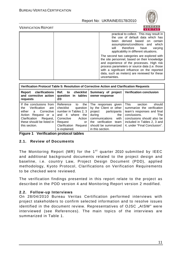

VERIFICATION REPORT

| practical to collect. This may result in<br>the use of default data which has<br>derived based on<br>certain<br>been<br>which<br>assumptions/conditions and<br>therefore have<br>will<br>varying<br>applicability in different situations.                                                                   |  |
|--------------------------------------------------------------------------------------------------------------------------------------------------------------------------------------------------------------------------------------------------------------------------------------------------------------|--|
| The second two categories are explored with<br>the site personnel, based on their knowledge<br>and experience of the processes. High risk<br>process parameters or source data (i.e. those<br>with a significant influence on the reported<br>data, such as meters) are reviewed for these<br>uncertainties. |  |

| Verification Protocol Table 5: Resolution of Corrective Action and Clarification Requests                                                                                            |                                                                                                                                                                                           |                                                                                                                                                                                                |                                                                                                                                                                                                                  |
|--------------------------------------------------------------------------------------------------------------------------------------------------------------------------------------|-------------------------------------------------------------------------------------------------------------------------------------------------------------------------------------------|------------------------------------------------------------------------------------------------------------------------------------------------------------------------------------------------|------------------------------------------------------------------------------------------------------------------------------------------------------------------------------------------------------------------|
| clarifications<br>Report<br>and corrective action<br>requests                                                                                                                        | checklist<br>Ref.<br>to<br>question in tables<br>2/3                                                                                                                                      | Summary of project<br>owner response                                                                                                                                                           | <b>Verification conclusion</b>                                                                                                                                                                                   |
| If the conclusions from<br>Verification<br>the<br>are<br>either<br>a Corrective<br>Action<br>Request or a<br>Clarification<br>Request,<br>these should be listed in<br>this section. | Reference<br>the<br>to<br>checklist<br>question<br>number in Tables 2, 3<br>and $4$<br>where<br>the<br>Corrective<br>Action<br>Request<br>or<br>Clarification<br>Request<br>is explained. | The responses given<br>by the Client or other<br>project<br>participants<br>during<br>the<br>with<br>communications<br>verification<br>team<br>the<br>should be summarized<br>in this section. | <b>This</b><br>should<br>section<br>summarize the verification<br>team's responses and final<br>conclusions.<br>The<br>conclusions should also be<br>included in Tables 2, 3 and<br>4, under "Final Conclusion". |

**Figure 1 Verification protocol tables** 

#### **2.1. Review of Documents**

The Monitoring Report (MR) for the  $1<sup>st</sup>$  quarter 2010 submitted by IEEC and additional background documents related to the project design and baseline, i.e. country Law, Project Design Document (PDD), applied methodology, Kyoto Protocol, Clarifications on Verification Requirements to be checked were reviewed.

The verification findings presented in this report relate to the project as described in the PDD version 4 and Monitoring Report version 2 modified.

#### **2.2. Follow-up Interviews**

On 28/04/2010 Bureau Veritas Certification performed interviews with project stakeholders to confirm selected information and to resolve issues identified in the document review. Representatives of OJSC "AISW" were interviewed (see References). The main topics of the interviews are summarized in Table 1.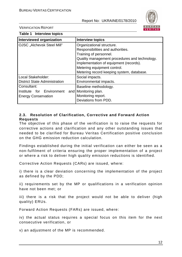

VERIFICATION REPORT

| Table 1 Interview topics                                               |                                                                                                                                                                                                                                                                 |
|------------------------------------------------------------------------|-----------------------------------------------------------------------------------------------------------------------------------------------------------------------------------------------------------------------------------------------------------------|
| <b>Interviewed organization</b>                                        | <b>Interview topics</b>                                                                                                                                                                                                                                         |
| OJSC "Alchevsk Steel Mill"                                             | Organizational structure.<br>Responsibilities and authorities.<br>Training of personnel.<br>Quality management procedures and technology.<br>Implementation of equipment (records).<br>Metering equipment control.<br>Metering record keeping system, database. |
| Local Stakeholder:<br><b>District State Administration</b>             | Social impacts.<br>Environmental impacts.                                                                                                                                                                                                                       |
| Consultant:<br>Institute for Environment<br><b>Energy Conservation</b> | Baseline methodology.<br>and   Monitoring plan.<br>Monitoring report.<br>Deviations from PDD.                                                                                                                                                                   |

#### **2.3. Resolution of Clarification, Corrective and Forward Action Requests**

The objective of this phase of the verification is to raise the requests for corrective actions and clarification and any other outstanding issues that needed to be clarified for Bureau Veritas Certification positive conclusion on the GHG emission reduction calculation.

Findings established during the initial verification can either be seen as a non-fulfilment of criteria ensuring the proper implementation of a project or where a risk to deliver high quality emission reductions is identified.

Corrective Action Requests (CARs) are issued, where:

i) there is a clear deviation concerning the implementation of the project as defined by the PDD;

ii) requirements set by the MP or qualifications in a verification opinion have not been met; or

iii) there is a risk that the project would not be able to deliver (high quality) ERUs.

Forward Action Requests (FARs) are issued, where:

iv) the actual status requires a special focus on this item for the next consecutive verification, or

v) an adjustment of the MP is recommended.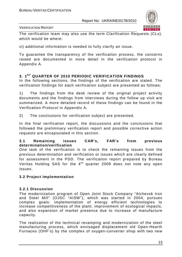

VERIFICATION REPORT

The verification team may also use the term Clarification Requests (CLs), which would be where:

vi) additional information is needed to fully clarify an issue.

To guarantee the transparency of the verification process, the concerns raised are documented in more detail in the verification protocol in Appendix A.

# **3. 1ST QUARTER OF 2010 PERIODIC VERIFICATION FINDINGS**

In the following sections, the findings of the verification are stated. The verification findings for each verification subject are presented as follows:

1) The findings from the desk review of the original project activity documents and the findings from interviews during the follow up visit are summarized. A more detailed record of these findings can be found in the Verification Protocol in Appendix A.

2) The conclusions for verification subject are presented.

In the final verification report, the discussions and the conclusions that followed the preliminary verification report and possible corrective action requests are encapsulated in this section.

#### **3.1 Remaining issues CAR's, FAR's from previous determination/verification**

One task of the verification is to check the remaining issues from the previous determination and verification or issues which are clearly defined for assessment in the PDD. The verification report prepared by Bureau Veritas Holding SAS for the  $4<sup>th</sup>$  quarter 2009 does not note any open issues.

#### **3.2 Project Implementation**

#### **3.2.1 Discussion**

The modernization program of Open Joint Stock Company "Alchevsk Iron and Steel Mill" (OJSC "AISW"), which was started in 2004, pursues complex goals: implementation of energy efficient technologies to increase competitiveness of the plant, improvement of ecological impacts, and also expansion of market presence due to increase of manufacture capacity.

The realization of the technical revamping and modernization of the steel manufacturing process, which envisaged displacement old Open-Hearth Furnaces (OHF's) by the complex of oxygen-converter shop with two new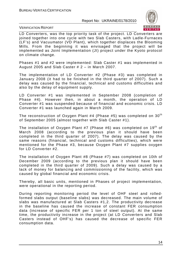

VERIFICATION REPORT

LD Converters, was the top priority task of the project. LD Converters are joined together into one cycle with two Slab Casters, with Ladle-Furnaces (LF's) and Vacuumator (VD Plant), which together displaces the Blooming Mills. From the beginning it was envisaged that the project will be implemented as Joint Implementation (JI) project under the Kyoto protocol on climate change.

Phases #1 and #2 were implemented: Slab Caster #1 was implemented in August 2005 and Slab Caster # 2 – in March 2007.

The implementation of LD Converter #2 (Phase #3) was completed in January 2008 (it had to be finished in the third quarter of 2007). Such a delay was caused by the financial, technical and customs difficulties and also by the delay of equipment supply.

LD Converter #1 was implemented in September 2008 (completion of Phase #4). However then, in about a month, the operation of LD Converter #1 was suspended because of financial and economic crisis. LD Converter #1 was launched again in March 2009.

The reconstruction of Oxygen Plant #4 (Phase #5) was completed on  $30<sup>th</sup>$ of September 2005 (almost together with Slab Caster #1).

The installation of Oxygen Plant #7 (Phase #6) was completed on 19<sup>th</sup> of March 2008 (according to the previous plan it should have been completed in the third quarter of 2007). The delay was caused by the same reasons (financial, technical and customs difficulties), which were mentioned for the Phase #3, because Oxygen Plant #7 supplies oxygen for LD Converter #2.

The installation of Oxygen Plant #8 (Phase #7) was completed on 10th of December 2009 (according to the previous plan it should have been completed in the third quarter of 2009). Such a delay was caused by a lack of money for balancing and commissioning of the facility, which was caused by global financial and economic crisis.

Thereby, all basic units, mentioned in Phases of project implementation, were operational in the reporting period.

During reporting monitoring period the level of OHF steel and rolledformed slabs output (baseline slabs) was decreased. The main volume of slabs was manufactured at Slab Casters #1,2. The productivity decrease in the baseline has caused the increase of constant FER consumption data (increase of specific FER per 1 ton of steel output). At the same time, the productivity increase in the project (at LD Converters and Slab Casters instead of OHF's) has caused the decrease of specific FER consumption data.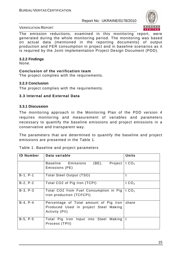

The emission reductions, examined in this monitoring report, were generated during the whole monitoring period. The monitoring was based on actual data (mentioned in the reporting documents) of output production and FER consumption in project and in baseline scenarios as it is required by the Joint Implementation Project Design Document (PDD).

#### **3.2.2 Findings**

None.

#### **Conclusion of the verification team**

The project complies with the requirements.

#### **3.2.3 Conclusion**

The project complies with the requirements.

#### **3.3 Internal and External Data**

#### **3.3.1 Discussion**

The monitoring approach in the Monitoring Plan of the PDD version 4 requires monitoring and measurement of variables and parameters necessary to quantify the baseline emissions and project emissions in a conservative and transparent way.

The parameters that are determined to quantify the baseline and project emissions are presented in the Table 1.

| Table 1. Baseline and project parameters |  |
|------------------------------------------|--|
|------------------------------------------|--|

| <b>ID Number</b> | Data variable                                                                                     | <b>Units</b> |
|------------------|---------------------------------------------------------------------------------------------------|--------------|
|                  | (BE), Project<br>Baseline Emissions<br>Emissions (PE)                                             | t $CO2$      |
| $B-1, P-1$       | Total Steel Output (TSO)                                                                          |              |
| $B-2, P-2$       | Total CO2 of Pig Iron (TCPI)                                                                      | t $CO2$      |
| $B-3, P-3$       | Total CO2 from Fuel Consumption in Pig<br>Iron production (TCFCPI)                                | t $CO2$      |
| $B-4, P-4$       | Percentage of Total amount of Pig Iron<br>Produced Used in project Steel Making<br>Activity (PII) | share        |
| $B-5, P-5$       | Total Pig Iron Input into Steel Making<br>Process (TPII)                                          |              |

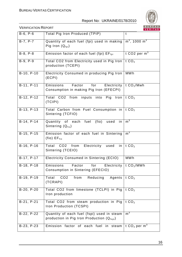

|              |                                                                                           | <b>VERITAS</b>              |
|--------------|-------------------------------------------------------------------------------------------|-----------------------------|
| $B-6, P-6$   | <b>Total Pig Iron Produced (TPIP)</b>                                                     | $\mathbf t$                 |
| $B-7, P-7$   | Quantity of each fuel (fpi) used in making<br>Pig Iron $(Q_{\text{foi}})$                 | $m^3$ , 1000 m <sup>3</sup> |
| $B-8, P-8$   | Emission factor of each fuel (fpi) $EF_{\text{fpi}}$                                      | t CO2 per $m3$              |
| $B-9, P-9$   | Total CO2 from Electricity used in Pig Iron<br>production (TCEPI)                         | t $CO2$                     |
| B-10, P-10   | <b>Electricity Consumed in producing Pig Iron</b><br>(ECPI)                               | <b>MWh</b>                  |
| $B-11, P-11$ | Factor<br>for<br>Electricity<br>Emissions<br>Consumption in making Pig Iron (EFECPI)      | t $CO2/Mwh$                 |
| B-12, P-12   | Total CO2 from inputs into Pig Iron $ t CO2$<br>(TCIPI)                                   |                             |
| $B-13, P-13$ | Total Carbon from Fuel Consumption in<br>Sintering (TCFIO)                                | t $CO2$                     |
| $B-14, P-14$ | Quantity of each fuel (fio) used<br>in<br>Sintering $(Q_{\text{fio}})$                    | m <sup>3</sup>              |
| B-15, P-15   | Emission factor of each fuel in Sintering<br>$(fio) EF_{fio}$                             | $m^3$                       |
| B-16, P-16   | CO2 from<br>Electricity used<br>Total<br>in<br>Sintering (TCEIO)                          | t $CO2$                     |
| B-17, P-17   | Electricity Consumed in Sintering (ECIO)                                                  | <b>MWh</b>                  |
| B-18, P-18   | Emissions<br>for Electricity   t $CO2/MWh$<br>Factor<br>Consumption in Sintering (EFECIO) |                             |
| B-19, P-19   | CO <sub>2</sub><br>Reducing<br>Agents<br>Total<br>from<br>(TCRAPI)                        | t CO <sub>2</sub>           |
| B-20, P-20   | Total CO2 from limestone (TCLPI) in Pig<br>Iron production                                | t $CO2$                     |
| B-21, P-21   | Total CO2 from steam production in Pig<br>Iron Production (TCSPI)                         | t $CO2$                     |
| B-22, P-22   | Quantity of each fuel (fspi) used in steam<br>production in Pig Iron Production (Qfspi)   | m <sup>3</sup>              |
| B-23, P-23   | Emission factor of each fuel in steam                                                     | t $CO2$ per m <sup>3</sup>  |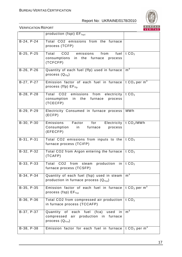

|            |                                                                                                              | <u>VERITAS</u>                 |
|------------|--------------------------------------------------------------------------------------------------------------|--------------------------------|
|            | production (fspi) EF <sub>fspi</sub>                                                                         |                                |
| B-24, P-24 | Total CO2 emissions from the furnace<br>process (TCFP)                                                       |                                |
| B-25, P-25 | CO2 emissions from<br>Total<br>consumptions in the furnace process<br>(TCFCFP)                               | fuel $\vert$ t CO <sub>2</sub> |
| B-26, P-26 | Quantity of each fuel (ffp) used in furnace<br>process $(Q_{ffp})$                                           | $m^3$                          |
| B-27, P-27 | Emission factor of each fuel in furnace<br>process (ffp) $EF_{\text{ffp}}$                                   | t $CO2$ per m <sup>3</sup>     |
| B-28, P-28 | Total CO2 emissions from electricity   t $CO2$<br>in the furnace<br>consumption<br>process<br>(TCECFP)       |                                |
| B-29, P-29 | Electricity Consumed in furnace process<br>(ECFP)                                                            | <b>MWh</b>                     |
| B-30, P-30 | Emissions<br>Factor<br>for<br>Consumption in furnace<br>process<br>(EFECFP)                                  | Electricity   t $CO2/MWh$      |
| B-31, P-31 | Total CO2 emissions from inputs to the<br>furnace process (TCIFP)                                            | t $CO2$                        |
| B-32, P-32 | Total CO2 from Argon entering the furnace<br>(TCAFP)                                                         | t $CO2$                        |
| B-33, P-33 | Total CO2<br>from<br>production<br>steam<br>furnace process (TCSFP)                                          | in   t $CO2$                   |
| B-34, P-34 | Quantity of each fuel (fsp) used in steam<br>production in furnace process $(Q_{fsp})$                       | m <sup>3</sup>                 |
| B-35, P-35 | Emission factor of each fuel in furnace<br>process (fsp) $EF_{fsp}$                                          | t $CO2$ per m <sup>3</sup>     |
| B-36, P-36 | Total CO2 from compressed air production<br>in furnace process (TCCAFP)                                      | t $CO2$                        |
| B-37, P-37 | Quantity of each fuel (fca)<br>used<br>-in<br>compressed air<br>production in furnace<br>process $(Q_{fca})$ | m <sup>3</sup>                 |
| B-38, P-38 | Emission factor for each fuel in furnace                                                                     | t $CO2$ per m <sup>3</sup>     |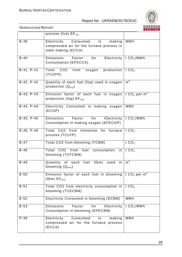

|              | process (fca) $EF_{\text{fca}}$                                                                             |                                      |
|--------------|-------------------------------------------------------------------------------------------------------------|--------------------------------------|
| $B-39$       | Electricity<br>Consumed<br>in<br>making<br>compressed air for the furnace process in<br>steel making (ECCA) | <b>MWh</b>                           |
| $B-40$       | Emissions<br>Factor<br>for<br>Consumption (EFECCA)                                                          | Electricity   t $CO2/MWh$            |
| B-41, P-41   | Total CO2 from<br>oxygen production $\vert$ t CO <sub>2</sub><br>(TCOFP)                                    |                                      |
| B-42, P-42   | Quantity of each fuel (fop) used in oxygen<br>production $(Q_{\text{fsp}})$                                 | m <sup>3</sup>                       |
| B-43, P-43   | Emission factor of each fuel in oxygen<br>production (fop) $EF_{\text{fop}}$                                | t CO <sub>2</sub> per m <sup>3</sup> |
| B-44, P-44   | Electricity Consumed in making oxygen<br>(ECOP)                                                             | <b>MWh</b>                           |
| $B-45, P-45$ | Factor<br>Emissions<br>for<br>Electricity<br>Consumption in making oxygen (EFECOP)                          | t $CO2/MWh$                          |
| $B-46, P-46$ | Total CO2 from limestone for furnace<br>process (TCLFP)                                                     | t $CO2$                              |
| $B-47$       | Total CO2 from blooming (TCBM)                                                                              | t $CO2$                              |
| $B-48$       | Total CO2 from fuel consumption in<br>blooming (TCFCBM)                                                     | t $CO2$                              |
| $B-49$       | (fbm)<br>Quantity of each fuel<br>used<br>in<br>blooming $(Q_{\text{fbm}})$                                 | m <sup>3</sup>                       |
| $B-50$       | Emission factor of each fuel in blooming<br>$(fbm)$ $EF_{fbm}$                                              | t $CO2$ per m <sup>3</sup>           |
| $B-51$       | Total CO2 from electricity consumption in<br>blooming (TCECBM)                                              | tCO <sub>2</sub>                     |
| $B-52$       | Electricity Consumed in blooming (ECBM)                                                                     | <b>MWh</b>                           |
| $B-53$       | Emissions<br>Factor<br>Electricity<br>for<br>Consumption in blooming (EFECBM)                               | t $CO2/MWh$                          |
| $P-39$       | Electricity<br>Consumed<br>making<br>in<br>compressed air for the furnace process<br>(ECCA)                 | <b>MWh</b>                           |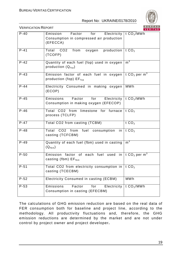

VERIFICATION REPORT

|                     |                                                                                                           | <b>VENTIAS</b>             |
|---------------------|-----------------------------------------------------------------------------------------------------------|----------------------------|
| $P-40$              | Factor<br>for<br>Emission<br>Electricity  <br>Consumption in compressed air production<br>(EFECCA)        | t $CO2/MWh$                |
| $P-41$              | CO <sub>2</sub><br>from<br>production   t $CO2$<br>Total<br>oxygen<br>(TCOFP)                             |                            |
| $P-42$              | Quantity of each fuel (fop) used in oxygen<br>production $(Q_{\text{fop}})$                               | m <sup>3</sup>             |
| $P-43$              | Emission factor of each fuel in oxygen   t $CO2$ per m <sup>3</sup><br>production (fop) $EF_{\text{fop}}$ |                            |
| $P-44$              | Electricity Consumed in making oxygen<br>(ECOP)                                                           | <b>MWh</b>                 |
| $P-45$              | Factor<br>for<br>Emissions<br>Consumption in making oxygen (EFECOP)                                       | Electricity   t $CO2/MWh$  |
| $\overline{P} - 46$ | Total CO2 from<br>limestone for furnace<br>process (TCLFP)                                                | t $CO2$                    |
| $P-47$              | Total CO2 from casting (TCBM)                                                                             | t $CO2$                    |
| $P-48$              | Total CO2 from fuel consumption<br>in<br>casting (TCFCBM)                                                 | t $CO2$                    |
| $P-49$              | Quantity of each fuel (fbm) used in casting<br>$(Q_{fbm})$                                                | m <sup>3</sup>             |
| $P-50$              | Emission factor of each fuel<br>used<br>in<br>casting (fbm) $EF_{fbm}$                                    | t $CO2$ per m <sup>3</sup> |
| $P-51$              | Total CO2 from electricity consumption in $\vert$ t CO <sub>2</sub><br>casting (TCECBM)                   |                            |
| $P - 52$            | Electricity Consumed in casting (ECBM)                                                                    | <b>MWh</b>                 |
| $P-53$              | Emissions<br>Factor<br>Electricity<br>for<br>Consumption in casting (EFECBM)                              | t CO <sub>2</sub> /MWh     |

The calculations of GHG emission reduction are based on the real data of FER consumption both for baseline and project line, according to the methodology. All productivity fluctuations and, therefore, the GHG emission reductions are determined by the market and are not under control by project owner and project developer**.**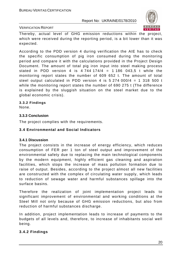

#### VERIFICATION REPORT

Thereby, actual level of GHG emission reductions within the project, which were received during the reporting period, is a bit lower than it was expected.

According to the PDD version 4 during verification the AIE has to check the specific consumption of pig iron consumed during the monitoring period and compare it with the calculations provided in the Project Design Document. The amount of total pig iron input into steel making process stated in PDD version 4 is  $4.744174/4 = 1.186043.5$  t while the monitoring report states the number of 609 652 t. The amount of total steel output calculated in PDD version 4 is  $5\,274\,000/4 = 1\,318\,500$  t while the monitoring report states the number of 690 275 t (The difference is explained by the sluggish situation on the steel market due to the global economic crisis).

#### **3.3.2 Findings**

None.

#### **3.3.3 Conclusion**

The project complies with the requirements.

#### **3.4 Environmental and Social Indicators**

#### **3.4.1 Discussion**

The project consists in the increase of energy efficiency, which reduces consumption of FER per 1 ton of steel output and improvement of the environmental safety due to replacing the main technological components by the modern equipment, highly efficient gas cleaning and aspiration facilities, which stops the increase of mass pollution formation due to raise of output. Besides, according to the project almost all new facilities are constructed with the complex of circulating water supply, which leads to reduction of sewage water and harmful substances spillage into the surface basins.

Therefore the realization of joint implementation project leads to significant improvement of environmental and working conditions at the Steel Mill not only because of GHG emission reductions, but also from reduction of harmful substances discharge.

In addition, project implementation leads to increase of payments to the budgets of all levels and, therefore, to increase of inhabitants social well being.

#### **3.4.2 Findings**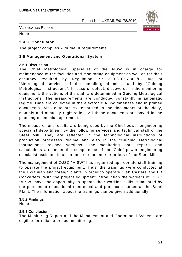

VERIFICATION REPORT

None

### **3.4.3. Conclusion**

The project complies with the JI requirements.

#### **3.5 Management and Operational System**

#### **3.5.1 Discussion**

The Chief Metrological Specialist of the AISW is in charge for maintenance of the facilities and monitoring equipment as well as for their accuracy required by Regulation PP 229-Э-056-863/02-2005 of "Metrological services of the metallurgical mills" and by "Guiding Metrological Instructions". In case of defect, discovered in the monitoring equipment, the actions of the staff are determined in Guiding Metrological Instructions. The measurements are conducted constantly in automatic regime. Data are collected in the electronic AISW database and in printed documents. Also data are systematized in the documents of the daily, monthly and annually registration. All those documents are saved in the planning-economic department.

The measurement results are being used by the Chief power-engineering specialist department, by the following services and technical staff of the Steel Mill. They are reflected in the technological instructions of production processes regime and also in the "Guiding Metrological Instructions" revised versions. The monitoring data reports and calculations are under the competence of the Chief power engineering specialist assistant in accordance to the interior orders of the Steel Mill.

The management of OJSC "AISW" has organized appropriate staff training to operate the project equipment. Thus, the trainings were conducted at the Ukrainian and foreign plants in order to operate Slab Casters and LD Converters. With the project equipment introduction the workers of OJSC "AISW" have the opportunity to update their working skills, stimulated by the permanent educational theoretical and practical courses at the Steel Plant. The information about the trainings can be given additionally.

#### **3.5.2 Findings**

None.

#### **3.5.3 Conclusion**

The Monitoring Report and the Management and Operational Systems are eligible for reliable project monitoring.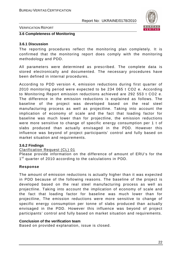

VERIFICATION REPORT

#### **3.6 Completeness of Monitoring**

#### **3.6.1 Discussion**

The reporting procedures reflect the monitoring plan completely. It is confirmed that the monitoring report does comply with the monitoring methodology and PDD.

All parameters were determined as prescribed. The complete data is stored electronically and documented. The necessary procedures have been defined in internal procedures.

According to PDD version 4, emission reductions during first quarter of 2010 monitoring period were expected to be 234 065 t CO2 e. According to Monitoring Report emission reductions achieved are 292 553 t CO2 e. The difference in the emission reductions is explained as follows. The baseline of the project was developed based on the real steel manufacturing process as well as projectline. Taking into account the implication of economy of scale and the fact that loading factor for baseline was much lower than for projectline, the emission reductions were more sensitive to change of specific energy consumption per 1 t of slabs produced than actually envisaged in the PDD. However this influence was beyond of project participants' control and fully based on market situation and requirements.

#### **3.6.2 Findings**

#### Clarification Request (CL) 01

Please provide information on the difference of amount of ERU's for the 1<sup>st</sup> quarter of 2010 according to the calculations in PDD.

#### **Response**

The amount of emission reductions is actually higher than it was expected in PDD because of the following reasons. The baseline of the project is developed based on the real steel manufacturing process as well as projectline. Taking into account the implication of economy of scale and the fact that loading factor for baseline was much lower than for projectline, The emission reductions were more sensitive to change of specific energy consumption per tonne of slabs produced than actually envisaged in the PDD. However this influence was beyond of project participants' control and fully based on market situation and requirements.

#### **Conclusion of the verification team**

Based on provided explanation, issue is closed.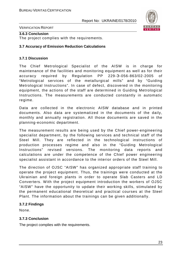

VERIFICATION REPORT

#### **3.6.3 Conclusion**

The project complies with the requirements.

#### **3.7 Accuracy of Emission Reduction Calculations**

#### **3.7.1 Discussion**

The Chief Metrological Specialist of the AISW is in charge for maintenance of the facilities and monitoring equipment as well as for their accuracy required by Regulation PP 229-Э-056-863/02-2005 of "Metrological services of the metallurgical mills" and by "Guiding Metrological Instructions". In case of defect, discovered in the monitoring equipment, the actions of the staff are determined in Guiding Metrological Instructions. The measurements are conducted constantly in automatic regime.

Data are collected in the electronic AISW database and in printed documents. Also data are systematized in the documents of the daily, monthly and annually registration. All those documents are saved in the planning-economic department.

The measurement results are being used by the Chief power-engineering specialist department, by the following services and technical staff of the Steel Mill. They are reflected in the technological instructions of production processes regime and also in the "Guiding Metrological Instructions" revised versions. The monitoring data reports and calculations are under the competence of the Chief power engineering specialist assistant in accordance to the interior orders of the Steel Mill.

The direction of OJSC "AISW" has organized appropriate staff training to operate the project equipment. Thus, the trainings were conducted at the Ukrainian and foreign plants in order to operate Slab Casters and LD Converters. With the project equipment introduction the workers of OJSC "AISW" have the opportunity to update their working skills, stimulated by the permanent educational theoretical and practical courses at the Steel Plant. The information about the trainings can be given additionally.

#### **3.7.2 Findings**

None.

#### **3.7.3 Conclusion**

The project complies with the requirements.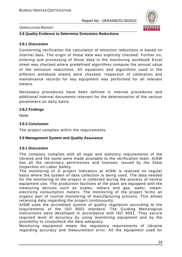

#### VERIFICATION REPORT

#### **3.8 Quality Evidence to Determine Emissions Reductions**

#### **3.8.1 Discussion**

Concerning verification the calculation of emission reductions is based on internal data. The origin of those data was explicitly checked. Further on, entering and processing of those data in the monitoring workbook Excel sheet was checked where predefined algorithms compute the annual value of the emission reductions. All equations and algorithms used in the different workbook sheets were checked. Inspection of calibration and maintenance records for key equipment was performed for all relevant meters.

Necessary procedures have been defined in internal procedures and additional internal documents relevant for the determination of the various parameters on daily basis.

#### **3.8.2 Findings**

None.

#### **3.8.3 Conclusion**

The project complies within the requirements.

#### **3.9 Management System and Quality Assurance**

#### **3.9.1 Discussion**

The company complies with all legal and statutory requirements of the Ukraine and the same were made available to the verification team. AISW has all the necessary permissions and licenses, issued by the State Inspection on Labor Safety.

The monitoring of JI project indicators at AISW is realized on regular basis where the system of data collection is being used. The data needed for the monitoring of the project is collected during the process of normal equipment use. The production facilities of the plant are equipped with the measuring devices such as scales, meters and gas, water, steam, electricity consumption meters. The monitoring of the project forms an organic part of routine monitoring of manufacturing process. This allows receiving data regarding the project continuously.

AISW uses the accredited system of quality regulation according to the requirements of the ISO 9001 standard. The Guiding Metrological Instructions were developed in accordance with ISO 9001. They secure required level of accuracy by using monitoring equipment and by the possibility to crosscheck the data adequacy.

Monitoring equipment meets the regulatory requirements of Ukraine regarding accuracy and measurement error. All the equipment used for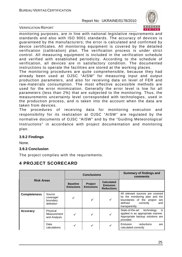

VERIFICATION REPORT

monitoring purposes, are in line with national legislative requirements and standards and also with ISO 9001 standards. The accuracy of devices is guaranteed by the manufacturers; the error is calculated and confirmed by device certificates. All monitoring equipment is covered by the detailed verification (calibration) plan. The verification process is under strict control. All measuring equipment is included in the verification schedule and verified with established periodicity. According to the schedule of verification, all devices are in satisfactory condition. The documented instructions to operate the facilities are stored at the working places.

The monitoring procedures are quite comprehensible, because they had already been used at OJSC "AISW" for measuring input and output production parameters, and also for receiving data on level of FER and raw-materials consumption. The most effective accessible methods are used for the error minimization. Generally the error level is low for all parameters (less than 2%) that are subjected to the monitoring. Thus, the measurements uncertainty level corresponded with technologies, used in the production process, and is taken into the account when the data are taken from devices.

The procedures of receiving data for monitoring execution and responsibility for its realization at OJSC "AISW" are regulated by the normative documents of OJSC "AISW" and by the "Guiding Meteorological Instructions" in accordance with project documentation and monitoring plan.

#### **3.9.2 Findings**

None.

#### **3.9.3 Conclusion**

The project complies with the requirements.

# **4 PROJECT SCORECARD**

|                     | <b>Conclusions</b>                            |                                     | Summary of findings and<br>comments |                                                           |                                                                                                                                                         |
|---------------------|-----------------------------------------------|-------------------------------------|-------------------------------------|-----------------------------------------------------------|---------------------------------------------------------------------------------------------------------------------------------------------------------|
| <b>Risk Areas</b>   |                                               | <b>Baseline</b><br><b>Emissions</b> | Project<br><b>Emissions</b>         | <b>Calculated</b><br><b>Emission</b><br><b>Reductions</b> |                                                                                                                                                         |
| <b>Completeness</b> | Source<br>coverage/<br>boundary<br>definition |                                     | ✓                                   |                                                           | All relevant sources are covered<br>by the monitoring plan and the<br>boundaries of the project<br>are<br>defined<br>correctly<br>and<br>transparently. |
| <b>Accuracy</b>     | Physical<br>Measurement<br>and Analysis       |                                     |                                     |                                                           | State-of-the-art<br>technology<br>is<br>applied in an appropriate manner.<br>Appropriate backup solutions are<br>provided.                              |
|                     | Data<br>calculations                          | ✓                                   | ✓                                   |                                                           | Emission<br>reductions<br>are<br>calculated correctly                                                                                                   |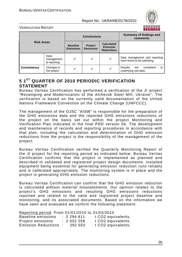

VERIFICATION REPORT

|                                   |                           | <b>Conclusions</b>                  |                                    |                                                           | <b>Summary of findings and</b><br>comments                    |
|-----------------------------------|---------------------------|-------------------------------------|------------------------------------|-----------------------------------------------------------|---------------------------------------------------------------|
| <b>Risk Areas</b>                 |                           | <b>Baseline</b><br><b>Emissions</b> | <b>Project</b><br><b>Emissions</b> | <b>Calculated</b><br><b>Emission</b><br><b>Reductions</b> |                                                               |
| Data<br>management<br>& reporting |                           |                                     | ✓                                  | ✓                                                         | Data management and reporting<br>were found to be satisfying. |
| <b>Consistency</b>                | Changes in<br>the project |                                     | ✔                                  | v                                                         | consistent<br>Results<br>to<br>are<br>underlying raw data.    |

# **5 1ST QUARTER OF 2010 PERIODIC VERIFICATION STATEMENT**

Bureau Veritas Certification has performed a verification of the JI project "Revamping and Modernization of the Alchevsk Steel Mill, Ukraine". The verification is based on the currently valid documentation of the United Nations Framework Convention on the Climate Change (UNFCCC).

The management of the OJSC "AISW" is responsible for the preparation of the GHG emissions data and the reported GHG emissions reductions of the project on the basis set out within the project Monitoring and Verification Plan indicated in the final PDD version 04. The development and maintenance of records and reporting procedures in accordance with that plan, including the calculation and determination of GHG emission reductions from the project is the responsibility of the management of the project.

Bureau Veritas Certification verified the Quarterly Monitoring Report of the JI project for the reporting period as indicated below. Bureau Veritas Certification confirms that the project is implemented as planned and described in validated and registered project design documents. Installed equipment being essential for generating emission reduction runs reliably and is calibrated appropriately. The monitoring system is in place and the project is generating GHG emission reductions.

Bureau Veritas Certification can confirm that the GHG emission reduction is calculated without material misstatements. Our opinion relates to the project's GHG emissions and resulting GHG emissions reductions reported and related to the valid and registered project baseline and monitoring, and its associated documents. Based on the information we have seen and evaluated we confirm the following statement:

Reporting period: From 01/01/2010 to 31/03/2010

| Baseline emissions         | : 2294811 | t CO2 equivalents.             |
|----------------------------|-----------|--------------------------------|
| Project emissions          | : 2002258 | t CO <sub>2</sub> equivalents. |
| <b>Emission Reductions</b> | 292 553   | t CO <sub>2</sub> equivalents. |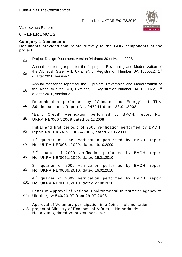

VERIFICATION REPORT

## **6 REFERENCES**

#### **Category 1 Documents:**

Documents provided that relate directly to the GHG components of the project.

/1/ Project Design Document, version 04 dated 30 of March 2008

Annual monitoring report for the JI project "Revamping and Modernization of the Alchevsk Steel Mill, Ukraine", JI Registration Number UA 1000022, 1<sup>st</sup>

/2/ quarter 2010, version 1

Annual monitoring report for the JI project "Revamping and Modernization of the Alchevsk Steel Mill, Ukraine", JI Registration Number UA 1000022, 1<sup>st</sup>

/3/ quarter 2010, version 2

/4/ Determination performed by "Climate and Energy" of TÜV Süddeutschland, Report No. 947241 dated 23.04.2008.

/5/ "Early Credit" Verification performed by BVCH, report No. UKRAINE/0007/2008 dated 02.12.2008

/6/ Initial and first periodic of 2008 verification performed by BVCH, report No. UKRAINE/0024/2008, dated 29.05.2009

/7/  $1<sup>st</sup>$ quarter of 2009 verification performed by BVCH, report No. UKRAINE/0051/2009, dated 19.10.2009

/8/ 2<sup>nd</sup> quarter of 2009 verification performed by BVCH, report No. UKRAINE/0051/2009, dated 15.01.2010

/9/  $3^{\text{rd}}$ quarter of 2009 verification performed by BVCH, report No. UKRAINE/0089/2010, dated 16.02.2010

/10/ No. UKRAINE/0110/2010, dated 27.08.2010 4<sup>th</sup> quarter of 2009 verification performed by BVCH, report

/11/ Ukraine, № 540/23/07 from 29.07.2008 Letter of Approval of National Environmental Investment Agency of

/12/ project of Ministry of Economical Affairs in Netherlands Approval of Voluntary participation in a Joint Implementation №2007JI03, dated 25 of October 2007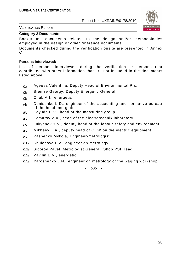

#### VERIFICATION REPORT

#### **Category 2 Documents:**

Background documents related to the design and/or methodologies employed in the design or other reference documents.

Documents checked during the verification onsite are presented in Annex  $\Omega$ 

#### **Persons interviewed:**

List of persons interviewed during the verification or persons that contributed with other information that are not included in the documents listed above.

- /1/ Ageeva Valentina, Deputy Head of Environmental Prc.
- /2/ Bremze Georgy, Deputy Energetic General
- /3/ Chub A.I., energetic
- $/4$  Denisenko L.D., engineer of the accounting and normative bureau of the head energetic
- $/5/$  Kayuda E.V., head of the measuring group
- /6/ Komarov V.A., head of the electrotechnik laboratory
- $/7/$  Lukyanov Y.V., deputy head of the labour safety and environment
- $/8/$  Mikheev E.A., deputy head of OCW on the electric equipment
- /9/ Pashenko Mykola, Engineer-metrologist
- /10/ Shulepova L.V., engineer on metrology
- /11/ Sidorov Pavel, Metrologist General, Shop PSI Head
- /12/ Vavilin E.V., energetic
- /13/ Yaroshenko L.N., engineer on metrology of the waging workshop

- o0o -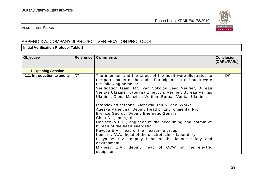

#### VERIFICATION REPORT

# APPENDIX A: COMPANY JI PROJECT VERIFICATION PROTOCOL

#### **Initial Verification Protocol Table 1**

| <b>Objective</b>            | Reference | <b>Comments</b>                                                                                                                                                                                                                                                                                                                                                                                                                                                                                                                                                                                                                                                                                                                                                                                                                                                         | <b>Conclusion</b><br>(CARS/FARS) |
|-----------------------------|-----------|-------------------------------------------------------------------------------------------------------------------------------------------------------------------------------------------------------------------------------------------------------------------------------------------------------------------------------------------------------------------------------------------------------------------------------------------------------------------------------------------------------------------------------------------------------------------------------------------------------------------------------------------------------------------------------------------------------------------------------------------------------------------------------------------------------------------------------------------------------------------------|----------------------------------|
| <b>1. Opening Session</b>   |           |                                                                                                                                                                                                                                                                                                                                                                                                                                                                                                                                                                                                                                                                                                                                                                                                                                                                         |                                  |
| 1.1. Introduction to audits | 7         | The intention and the target of the audit were illustrated to<br>the participants of the audit. Participants at the audit were<br>the following persons:<br>Verification team: Mr. Ivan Sokolov Lead Verifier, Bureau<br>Veritas Ukraine; Kateryna Zinevych, Verifier, Bureau Veritas<br>Ukraine, Olena Manziuk, Verifier, Bureau Veritas Ukraine.<br>Interviewed persons: Alchevsk Iron & Steel Works:<br>Ageeva Valentina, Deputy Head of Environmental Prc.<br>Bremze Georgy, Deputy Energetic General<br>Chub A.I., energetic<br>Denisenko L.D., engineer of the accounting and normative<br>bureau of the head energetic<br>Kayuda E.V., head of the measuring group<br>Komarov V.A., head of the electrotechnik laboratory<br>Lukyanov Y.V., deputy head of the labour safety and<br>environment<br>Mikheev E.A., deputy head of OCW on the electric<br>equipment | <b>OK</b>                        |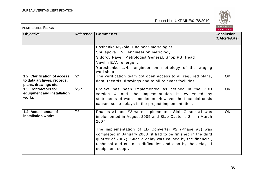

| <b>VERIFICATION REPORT</b>                   |                  |                                                                                                                                                                                                                                                                          | <b>BUREAU</b><br>VERITAS         |
|----------------------------------------------|------------------|--------------------------------------------------------------------------------------------------------------------------------------------------------------------------------------------------------------------------------------------------------------------------|----------------------------------|
| Objective                                    | <b>Reference</b> | <b>Comments</b>                                                                                                                                                                                                                                                          | <b>Conclusion</b><br>(CARs/FARs) |
|                                              |                  | Pashenko Mykola, Engineer-metrologist                                                                                                                                                                                                                                    |                                  |
|                                              |                  | Shulepova L.V., engineer on metrology                                                                                                                                                                                                                                    |                                  |
|                                              |                  | Sidorov Pavel, Metrologist General, Shop PSI Head                                                                                                                                                                                                                        |                                  |
|                                              |                  | Vavilin E.V., energetic                                                                                                                                                                                                                                                  |                                  |
|                                              |                  | Yaroshenko L.N., engineer on metrology of the waging<br>workshop                                                                                                                                                                                                         |                                  |
| 1.2. Clarification of access                 | $\frac{12}{1}$   | The verification team got open access to all required plans,                                                                                                                                                                                                             | <b>OK</b>                        |
| to data archives, records,                   |                  | data, records, drawings and to all relevant facilities.                                                                                                                                                                                                                  |                                  |
| plans, drawings etc.<br>1.3. Contractors for |                  |                                                                                                                                                                                                                                                                          | <b>OK</b>                        |
| equipment and installation                   | /2,7/            | Project has been implemented as defined in the PDD<br>version 4 and the implementation is evidenced by                                                                                                                                                                   |                                  |
| works                                        |                  | statements of work completion. However the financial crisis                                                                                                                                                                                                              |                                  |
|                                              |                  | caused some delays in the project implementation.                                                                                                                                                                                                                        |                                  |
|                                              |                  |                                                                                                                                                                                                                                                                          |                                  |
| 1.4. Actual status of                        | /2/              | Phases #1 and #2 were implemented: Slab Caster #1 was                                                                                                                                                                                                                    | <b>OK</b>                        |
| installation works                           |                  | implemented in August 2005 and Slab Caster $# 2 - in March$<br>2007.                                                                                                                                                                                                     |                                  |
|                                              |                  | The implementation of LD Converter #2 (Phase #3) was<br>completed in January 2008 (it had to be finished in the third<br>quarter of 2007). Such a delay was caused by the financial,<br>technical and customs difficulties and also by the delay of<br>equipment supply. |                                  |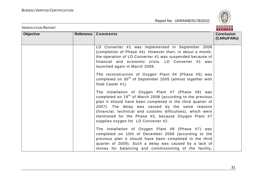

| <b>VERIFICATION REPORT</b> |           |                                                                                                                                                                                                                                                                                                                                                                                                             | <b>BUREAU</b><br>VERITAS         |
|----------------------------|-----------|-------------------------------------------------------------------------------------------------------------------------------------------------------------------------------------------------------------------------------------------------------------------------------------------------------------------------------------------------------------------------------------------------------------|----------------------------------|
| <b>Objective</b>           | Reference | <b>Comments</b>                                                                                                                                                                                                                                                                                                                                                                                             | <b>Conclusion</b><br>(CARs/FARs) |
|                            |           | LD Converter #1 was implemented in September 2008<br>(completion of Phase #4). However then, in about a month,<br>the operation of LD Converter #1 was suspended because of<br>financial and economic crisis. LD Converter #1 was<br>launched again in March 2009.                                                                                                                                          |                                  |
|                            |           | The reconstruction of Oxygen Plant #4 (Phase #5) was<br>completed on 30 <sup>th</sup> of September 2005 (almost together with<br>Slab Caster #1).                                                                                                                                                                                                                                                           |                                  |
|                            |           | The installation of Oxygen Plant #7 (Phase #6) was<br>completed on 19 <sup>th</sup> of March 2008 (according to the previous<br>plan it should have been completed in the third quarter of<br>2007). The delay was caused by the same reasons<br>(financial, technical and customs difficulties), which were<br>mentioned for the Phase #3, because Oxygen Plant #7<br>supplies oxygen for LD Converter #2. |                                  |
|                            |           | The installation of Oxygen Plant #8 (Phase #7) was<br>completed on 10th of December 2009 (according to the<br>previous plan it should have been completed in the third<br>quarter of 2009). Such a delay was caused by a lack of<br>money for balancing and commissioning of the facility,                                                                                                                  |                                  |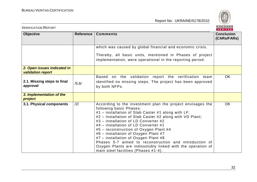

| <b>VERIFICATION REPORT</b>                              |           |                                                                                                                                                                                                                                                                                                                                                                                                                                                                                                                                                                                    | BUREAU<br>VERITAS                |
|---------------------------------------------------------|-----------|------------------------------------------------------------------------------------------------------------------------------------------------------------------------------------------------------------------------------------------------------------------------------------------------------------------------------------------------------------------------------------------------------------------------------------------------------------------------------------------------------------------------------------------------------------------------------------|----------------------------------|
| <b>Objective</b>                                        | Reference | <b>Comments</b>                                                                                                                                                                                                                                                                                                                                                                                                                                                                                                                                                                    | <b>Conclusion</b><br>(CARs/FARs) |
|                                                         |           | which was caused by global financial and economic crisis.<br>Thereby, all basic units, mentioned in Phases of project<br>implementation, were operational in the reporting period.                                                                                                                                                                                                                                                                                                                                                                                                 |                                  |
| 2. Open issues indicated in<br><b>validation report</b> |           |                                                                                                                                                                                                                                                                                                                                                                                                                                                                                                                                                                                    |                                  |
| 2.1. Missing steps to final<br>approval                 | /5, 6/    | Based on the validation report the verification team<br>identified no missing steps. The project has been approved<br>by both NFPs.                                                                                                                                                                                                                                                                                                                                                                                                                                                | <b>OK</b>                        |
| 3. Implementation of the<br>project                     |           |                                                                                                                                                                                                                                                                                                                                                                                                                                                                                                                                                                                    |                                  |
| 3.1. Physical components                                | /2/       | According to the investment plan the project envisages the<br>following basic Phases:<br>#1 – installation of Slab Caster #1 along with LF;<br>#2 - installation of Slab Caster #2 along with VD Plant;<br>#3 - installation of LD Converter #2<br>#4 - installation of LD Converter #1<br>#5 – reconstruction of Oxygen Plant #4<br>#6 - installation of Oxygen Plant #7<br>#7 - installation of Oxygen Plant #8<br>Phases 5-7 aimed to reconstruction and introduction of<br>Oxygen Plants are indissolubly linked with the operation of<br>main steel facilities (Phases #1-4). | <b>OK</b>                        |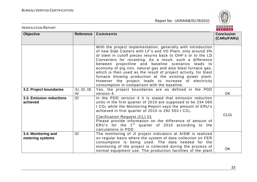

| <b>VERIFICATION REPORT</b>              |                      |                                                                                                                                                                                                                                                                                                                                                                                                                                                                                                                                                                                                                     | BUREAU<br><b>VERITAS</b>         |
|-----------------------------------------|----------------------|---------------------------------------------------------------------------------------------------------------------------------------------------------------------------------------------------------------------------------------------------------------------------------------------------------------------------------------------------------------------------------------------------------------------------------------------------------------------------------------------------------------------------------------------------------------------------------------------------------------------|----------------------------------|
| <b>Objective</b>                        | Reference            | <b>Comments</b>                                                                                                                                                                                                                                                                                                                                                                                                                                                                                                                                                                                                     | <b>Conclusion</b><br>(CARs/FARs) |
|                                         |                      | With the project implementation, generally with introduction<br>of new Slab Casters with LF's and VD Plant, only around 3%<br>of steel in cutoff pieces returns back to OHF's or to the LD<br>Converters for recasting. As a result, such a difference<br>between projectline and baseline scenarios leads to<br>economy of pig iron, natural gas and also blast furnace gas,<br>which is then used as the result of project activity, for blast<br>furnace blowing production at the existing power plant.<br>However the project leads to increase of electricity<br>consumption in comparison with the baseline. |                                  |
| 3.2. Project boundaries                 | 11, 121, 131,<br>/4/ | Yes, the project boundaries are as defined in the PDD<br>version 4.                                                                                                                                                                                                                                                                                                                                                                                                                                                                                                                                                 | <b>OK</b>                        |
| 3.3. Emission reductions<br>achieved    | /2/                  | In the PDD version 4 it is stated that emission reduction<br>units in the first quarter of 2010 are supposed to be 234 065<br>t CO <sub>2</sub> while the Monitoring Report says the amount of ERU's<br>achieved in first quarter of 2010 is 292 553 t CO <sub>2</sub> .<br><b>Clarification Request (CL) 01</b><br>Please provide information on the difference of amount of<br>ERU's for the $1st$ quarter of 2010 according to the<br>calculations in PDD.                                                                                                                                                       | CL <sub>01</sub>                 |
| 3.4. Monitoring and<br>metering systems | /2/                  | The monitoring of JI project indicators at AISW is realized<br>on regular basis where the system of data collection on FER<br>consumption is being used. The data needed for the<br>monitoring of the project is collected during the process of<br>normal equipment use. The production facilities of the plant                                                                                                                                                                                                                                                                                                    | OK                               |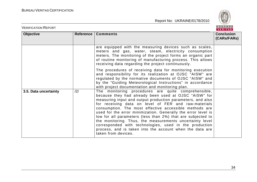

| <b>VERIFICATION REPORT</b> |           |                                                                                                                                                                                                                                                                                                                                                                                                                                                                                                                                                                                                                                       | BUREAU<br><b>VERITAS</b>         |
|----------------------------|-----------|---------------------------------------------------------------------------------------------------------------------------------------------------------------------------------------------------------------------------------------------------------------------------------------------------------------------------------------------------------------------------------------------------------------------------------------------------------------------------------------------------------------------------------------------------------------------------------------------------------------------------------------|----------------------------------|
| <b>Objective</b>           | Reference | <b>Comments</b>                                                                                                                                                                                                                                                                                                                                                                                                                                                                                                                                                                                                                       | <b>Conclusion</b><br>(CARs/FARs) |
|                            |           | are equipped with the measuring devices such as scales,<br>meters and gas, water, steam, electricity consumption<br>meters. The monitoring of the project forms an organic part<br>of routine monitoring of manufacturing process. This allows<br>receiving data regarding the project continuously.                                                                                                                                                                                                                                                                                                                                  |                                  |
|                            |           | The procedures of receiving data for monitoring execution<br>and responsibility for its realization at OJSC "AISW" are<br>regulated by the normative documents of OJSC "AISW" and<br>by the "Guiding Meteorological Instructions" in accordance<br>with project documentation and monitoring plan.                                                                                                                                                                                                                                                                                                                                    |                                  |
| 3.5. Data uncertainty      | /2/       | The monitoring procedures are quite comprehensible,<br>because they had already been used at OJSC "AISW" for<br>measuring input and output production parameters, and also<br>for receiving data on level of FER and raw-materials<br>consumption. The most effective accessible methods are<br>used for the error minimization. Generally the error level is<br>low for all parameters (less than 2%) that are subjected to<br>the monitoring. Thus, the measurements uncertainty level<br>corresponded with technologies, used in the production<br>process, and is taken into the account when the data are<br>taken from devices. |                                  |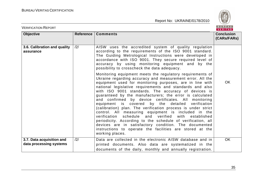

| <b>VERIFICATION REPORT</b>                           |           |                                                                                                                                                                                                                                                                                                                                                                                                                                                                                                                                                                                                                                                                                                                                                                                                                                                                              | BUREAU<br>VERITAS                |
|------------------------------------------------------|-----------|------------------------------------------------------------------------------------------------------------------------------------------------------------------------------------------------------------------------------------------------------------------------------------------------------------------------------------------------------------------------------------------------------------------------------------------------------------------------------------------------------------------------------------------------------------------------------------------------------------------------------------------------------------------------------------------------------------------------------------------------------------------------------------------------------------------------------------------------------------------------------|----------------------------------|
| <b>Objective</b>                                     | Reference | <b>Comments</b>                                                                                                                                                                                                                                                                                                                                                                                                                                                                                                                                                                                                                                                                                                                                                                                                                                                              | <b>Conclusion</b><br>(CARs/FARs) |
| 3.6. Calibration and quality<br>assurance            | /2/       | AISW uses the accredited system of quality regulation<br>according to the requirements of the ISO 9001 standard.<br>The Guiding Metrological Instructions were developed in<br>accordance with ISO 9001. They secure required level of<br>accuracy by using monitoring equipment and by the<br>possibility to crosscheck the data adequacy.                                                                                                                                                                                                                                                                                                                                                                                                                                                                                                                                  |                                  |
|                                                      |           | Monitoring equipment meets the regulatory requirements of<br>Ukraine regarding accuracy and measurement error. All the<br>equipment used for monitoring purposes, are in line with<br>national legislative requirements and standards and also<br>with ISO 9001 standards. The accuracy of devices is<br>guaranteed by the manufacturers; the error is calculated<br>and confirmed by device certificates. All monitoring<br>equipment is covered by the detailed<br>verification<br>(calibration) plan. The verification process is under strict<br>control. All measuring equipment is included in the<br>verification schedule and verified<br>with<br>established<br>periodicity. According to the schedule of verification, all<br>devices are in satisfactory condition. The documented<br>instructions to operate the facilities are stored at the<br>working places. | <b>OK</b>                        |
| 3.7. Data acquisition and<br>data processing systems | /2/       | Data are collected in the electronic AISW database and in<br>printed documents. Also data are systematized in the<br>documents of the daily, monthly and annually registration.                                                                                                                                                                                                                                                                                                                                                                                                                                                                                                                                                                                                                                                                                              | OK                               |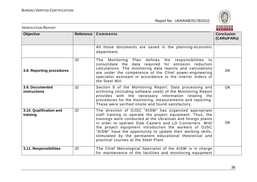

| <b>VERIFICATION REPORT</b>             |           |                                                                                                                                                                                                                                                                                                                                                                                                                                                                               | BUREAU<br><b>VERITAS</b>         |
|----------------------------------------|-----------|-------------------------------------------------------------------------------------------------------------------------------------------------------------------------------------------------------------------------------------------------------------------------------------------------------------------------------------------------------------------------------------------------------------------------------------------------------------------------------|----------------------------------|
| <b>Objective</b>                       | Reference | <b>Comments</b>                                                                                                                                                                                                                                                                                                                                                                                                                                                               | <b>Conclusion</b><br>(CARs/FARs) |
|                                        |           | All those documents are saved in the planning-economic<br>department.                                                                                                                                                                                                                                                                                                                                                                                                         |                                  |
| 3.8. Reporting procedures              | /2/       | Monitoring<br>Plan defines the responsibilities to<br>The<br>consolidate the data required for emission reduction<br>calculations. The monitoring data reports and calculations<br>are under the competence of the Chief power-engineering<br>specialist assistant in accordance to the interior orders of<br>the Steel Mill.                                                                                                                                                 | <b>OK</b>                        |
| 3.9. Documented<br><b>instructions</b> | /2/       | Section 8 of the Monitoring Report. Data processing and<br>archiving (including software used) of the Monitoring Report<br>provides with the necessary information relating the<br>procedures for the monitoring, measurements and reporting.<br>These were verified onsite and found satisfactory.                                                                                                                                                                           | <b>OK</b>                        |
| 3.10. Qualification and<br>training    | /2/       | The direction of OJSC "AISW" has organized appropriate<br>staff training to operate the project equipment. Thus, the<br>trainings were conducted at the Ukrainian and foreign plants<br>in order to operate Slab Casters and LD Converters. With<br>the project equipment introduction the workers of OJSC<br>"AISW" have the opportunity to update their working skills,<br>stimulated by the permanent educational theoretical and<br>practical courses at the Steel Plant. | OK                               |
| 3.11. Responsibilities                 | /2/       | The Chief Metrological Specialist of the AISW is in charge<br>for maintenance of the facilities and monitoring equipment                                                                                                                                                                                                                                                                                                                                                      |                                  |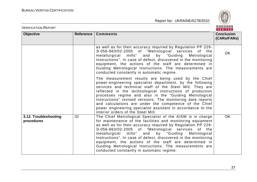

| <b>VERIFICATION REPORT</b>          |           |                                                                                                                                                                                                                                                                                                                                                                                                                                                                                                                                           | BUREAU<br><b>VERITAS</b>         |
|-------------------------------------|-----------|-------------------------------------------------------------------------------------------------------------------------------------------------------------------------------------------------------------------------------------------------------------------------------------------------------------------------------------------------------------------------------------------------------------------------------------------------------------------------------------------------------------------------------------------|----------------------------------|
| <b>Objective</b>                    | Reference | <b>Comments</b>                                                                                                                                                                                                                                                                                                                                                                                                                                                                                                                           | <b>Conclusion</b><br>(CARs/FARs) |
|                                     |           | as well as for their accuracy required by Regulation PP 229-<br>3-056-863/02-2005 of "Metrological services of the<br>metallurgical mills" and<br>by "Guiding Metrological<br>Instructions". In case of defect, discovered in the monitoring<br>equipment, the actions of the staff are determined in<br>Guiding Metrological Instructions. The measurements are<br>conducted constantly in automatic regime.                                                                                                                             | <b>OK</b>                        |
|                                     |           | The measurement results are being used by the Chief<br>power-engineering specialist department, by the following<br>services and technical staff of the Steel Mill. They are<br>reflected in the technological instructions of production<br>processes regime and also in the "Guiding Metrological<br>Instructions" revised versions. The monitoring data reports<br>and calculations are under the competence of the Chief<br>power engineering specialist assistant in accordance to the<br>interior orders of the Steel Mill.         |                                  |
| 3.12. Troubleshooting<br>procedures | /2/       | The Chief Metrological Specialist of the AISW is in charge<br>for maintenance of the facilities and monitoring equipment<br>as well as for their accuracy required by Regulation PP 229-<br>3-056-863/02-2005 of "Metrological services of the<br>by "Guiding Metrological<br>metallurgical mills" and<br>Instructions". In case of defect, discovered in the monitoring<br>equipment, the actions of the staff are determined in<br>Guiding Metrological Instructions. The measurements are<br>conducted constantly in automatic regime. | <b>OK</b>                        |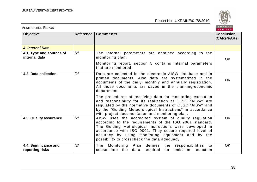

| <b>VERIFICATION REPORT</b>                |           |                                                                                                                                                                                                                                                                                                                                             | BUREAU<br><b>VERITAS</b>         |
|-------------------------------------------|-----------|---------------------------------------------------------------------------------------------------------------------------------------------------------------------------------------------------------------------------------------------------------------------------------------------------------------------------------------------|----------------------------------|
| <b>Objective</b>                          | Reference | <b>Comments</b>                                                                                                                                                                                                                                                                                                                             | <b>Conclusion</b><br>(CARs/FARs) |
| 4. Internal Data                          |           |                                                                                                                                                                                                                                                                                                                                             |                                  |
| 4.1. Type and sources of<br>internal data | /2/       | The internal parameters are obtained according to the<br>monitoring plan:<br>Monitoring report, section 5 contains internal parameters<br>that are monitored.                                                                                                                                                                               | <b>OK</b>                        |
| 4.2. Data collection                      | /2/       | Data are collected in the electronic AISW database and in<br>printed documents. Also data are systematized in the<br>documents of the daily, monthly and annually registration.<br>All those documents are saved in the planning-economic<br>department.                                                                                    | <b>OK</b>                        |
|                                           |           | The procedures of receiving data for monitoring execution<br>and responsibility for its realization at OJSC "AISW" are<br>regulated by the normative documents of OJSC "AISW" and<br>by the "Guiding Meteorological Instructions" in accordance<br>with project documentation and monitoring plan.                                          |                                  |
| 4.3. Quality assurance                    | /2/       | AISW uses the accredited system of quality regulation<br>according to the requirements of the ISO 9001 standard.<br>The Guiding Metrological Instructions were developed in<br>accordance with ISO 9001. They secure required level of<br>accuracy by using monitoring equipment and by the<br>possibility to crosscheck the data adequacy. | <b>OK</b>                        |
| 4.4. Significance and<br>reporting risks  | /2/       | Plan defines the responsibilities to<br>The Monitoring<br>consolidate the data required for emission reduction                                                                                                                                                                                                                              | <b>OK</b>                        |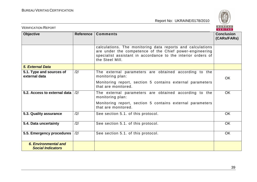

| <b>VERIFICATION REPORT</b>                       |                |                                                                                                                                                                                                          | BUREAU<br>VERITAS                |
|--------------------------------------------------|----------------|----------------------------------------------------------------------------------------------------------------------------------------------------------------------------------------------------------|----------------------------------|
| <b>Objective</b>                                 | Reference      | <b>Comments</b>                                                                                                                                                                                          | <b>Conclusion</b><br>(CARs/FARs) |
|                                                  |                | calculations. The monitoring data reports and calculations<br>are under the competence of the Chief power-engineering<br>specialist assistant in accordance to the interior orders of<br>the Steel Mill. |                                  |
| <b>5. External Data</b>                          |                |                                                                                                                                                                                                          |                                  |
| 5.1. Type and sources of<br>external data        | /2/            | The external parameters are obtained according to the<br>monitoring plan:                                                                                                                                | <b>OK</b>                        |
|                                                  |                | Monitoring report, section 5 contains external parameters<br>that are monitored.                                                                                                                         |                                  |
| 5.2. Access to external data                     | $\frac{12}{1}$ | The external parameters are obtained according to the<br>monitoring plan:                                                                                                                                | <b>OK</b>                        |
|                                                  |                | Monitoring report, section 5 contains external parameters<br>that are monitored.                                                                                                                         |                                  |
| 5.3. Quality assurance                           | /2/            | See section 5.1. of this protocol.                                                                                                                                                                       | <b>OK</b>                        |
| 5.4. Data uncertainty                            | /2/            | See section 5.1. of this protocol.                                                                                                                                                                       | <b>OK</b>                        |
| 5.5. Emergency procedures                        | /2/            | See section 5.1. of this protocol.                                                                                                                                                                       | <b>OK</b>                        |
| 6. Environmental and<br><b>Social Indicators</b> |                |                                                                                                                                                                                                          |                                  |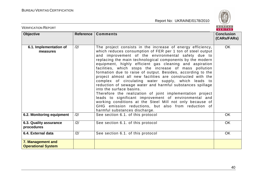

| <b>VERIFICATION REPORT</b>                     |           |                                                                                                                                                                                                                                                                                                                                                                                                                                                                                                                                                                                                                                                                                                                                                                                                                                                                                                                         | BUREAU<br><b>VERITAS</b>         |
|------------------------------------------------|-----------|-------------------------------------------------------------------------------------------------------------------------------------------------------------------------------------------------------------------------------------------------------------------------------------------------------------------------------------------------------------------------------------------------------------------------------------------------------------------------------------------------------------------------------------------------------------------------------------------------------------------------------------------------------------------------------------------------------------------------------------------------------------------------------------------------------------------------------------------------------------------------------------------------------------------------|----------------------------------|
| <b>Objective</b>                               | Reference | <b>Comments</b>                                                                                                                                                                                                                                                                                                                                                                                                                                                                                                                                                                                                                                                                                                                                                                                                                                                                                                         | <b>Conclusion</b><br>(CARs/FARs) |
| 6.1. Implementation of<br>measures             | /2/       | The project consists in the increase of energy efficiency,<br>which reduces consumption of FER per 1 ton of steel output<br>and improvement of the environmental safety due to<br>replacing the main technological components by the modern<br>equipment, highly efficient gas cleaning and aspiration<br>facilities, which stops the increase of mass pollution<br>formation due to raise of output. Besides, according to the<br>project almost all new facilities are constructed with the<br>complex of circulating water supply, which leads to<br>reduction of sewage water and harmful substances spillage<br>into the surface basins.<br>Therefore the realization of joint implementation project<br>leads to significant improvement of environmental and<br>working conditions at the Steel Mill not only because of<br>GHG emission reductions, but also from reduction of<br>harmful substances discharge. | <b>OK</b>                        |
| 6.2. Monitoring equipment                      | /2/       | See section 6.1. of this protocol                                                                                                                                                                                                                                                                                                                                                                                                                                                                                                                                                                                                                                                                                                                                                                                                                                                                                       | OK                               |
| 6.3. Quality assurance<br>procedures           | /2/       | See section 6.1. of this protocol                                                                                                                                                                                                                                                                                                                                                                                                                                                                                                                                                                                                                                                                                                                                                                                                                                                                                       | <b>OK</b>                        |
| 6.4. External data                             | /2/       | See section 6.1. of this protocol                                                                                                                                                                                                                                                                                                                                                                                                                                                                                                                                                                                                                                                                                                                                                                                                                                                                                       | OK                               |
| 7. Management and<br><b>Operational System</b> |           |                                                                                                                                                                                                                                                                                                                                                                                                                                                                                                                                                                                                                                                                                                                                                                                                                                                                                                                         |                                  |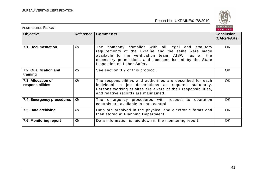

| <b>VERIFICATION REPORT</b>             |           |                                                                                                                                                                                                                                                           | BUREAU<br><b>VERITAS</b>         |
|----------------------------------------|-----------|-----------------------------------------------------------------------------------------------------------------------------------------------------------------------------------------------------------------------------------------------------------|----------------------------------|
| <b>Objective</b>                       | Reference | <b>Comments</b>                                                                                                                                                                                                                                           | <b>Conclusion</b><br>(CARs/FARs) |
| 7.1. Documentation                     | /2/       | The company complies with all legal and statutory<br>requirements of the Ukraine and the same were made<br>available to the verification team. AISW has all the<br>necessary permissions and licenses, issued by the State<br>Inspection on Labor Safety. | OK.                              |
| 7.2. Qualification and<br>training     | /2/       | See section 3.9 of this protocol.                                                                                                                                                                                                                         | <b>OK</b>                        |
| 7.3. Allocation of<br>responsibilities | /2/       | The responsibilities and authorities are described for each<br>individual in job descriptions as required statutorily.<br>Persons working at sites are aware of their responsibilities,<br>and relative records are maintained.                           | <b>OK</b>                        |
| 7.4. Emergency procedures              | /2/       | The emergency procedures with respect to operation<br>controls are available in data control                                                                                                                                                              | <b>OK</b>                        |
| 7.5. Data archiving                    | /2/       | Data are archived in the physical and electronic forms and<br>then stored at Planning Department.                                                                                                                                                         | <b>OK</b>                        |
| 7.6. Monitoring report                 | /2/       | Data information is laid down in the monitoring report.                                                                                                                                                                                                   | OK                               |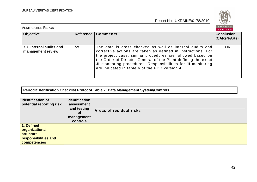

| <b>VERIFICATION REPORT</b>                    |                |                                                                                                                                                                                                                                                                                                                                                                           | BUREAU<br>VERITAS                |
|-----------------------------------------------|----------------|---------------------------------------------------------------------------------------------------------------------------------------------------------------------------------------------------------------------------------------------------------------------------------------------------------------------------------------------------------------------------|----------------------------------|
| <b>Objective</b>                              | Reference      | <b>Comments</b>                                                                                                                                                                                                                                                                                                                                                           | <b>Conclusion</b><br>(CARs/FARs) |
| 7.7. Internal audits and<br>management review | $\frac{12}{1}$ | The data is cross checked as well as internal audits and<br>corrective actions are taken as defined in Instructions. For<br>the project case, similar procedures are followed based on<br>the Order of Director General of the Plant defining the exact<br>JI monitoring procedures. Responsibilities for JI monitoring<br>are indicated in table 6 of the PDD version 4. | OK                               |

#### **Periodic Verification Checklist Protocol Table 2: Data Management System/Controls**

| <b>Identification of</b><br>potential reporting risk                               | Identification,<br>assessment<br>and testing<br><b>of</b><br>management<br>controls | Areas of residual risks |
|------------------------------------------------------------------------------------|-------------------------------------------------------------------------------------|-------------------------|
| 1. Defined<br>organizational<br>structure,<br>responsibilities and<br>competencies |                                                                                     |                         |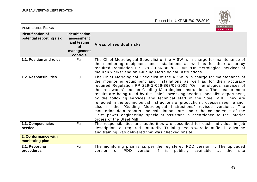

| <b>VERIFICATION REPORT</b>                           |                                                                                     | BUREAU<br>VERITAS                                                                                                                                                                                                                                                                                                                                                                                                                                                                                                                                                                                                                                                                                                                                                                                                                  |
|------------------------------------------------------|-------------------------------------------------------------------------------------|------------------------------------------------------------------------------------------------------------------------------------------------------------------------------------------------------------------------------------------------------------------------------------------------------------------------------------------------------------------------------------------------------------------------------------------------------------------------------------------------------------------------------------------------------------------------------------------------------------------------------------------------------------------------------------------------------------------------------------------------------------------------------------------------------------------------------------|
| <b>Identification of</b><br>potential reporting risk | Identification,<br>assessment<br>and testing<br><b>of</b><br>management<br>controls | Areas of residual risks                                                                                                                                                                                                                                                                                                                                                                                                                                                                                                                                                                                                                                                                                                                                                                                                            |
| 1.1. Position and roles                              | Full                                                                                | The Chief Metrological Specialist of the AISW is in charge for maintenance of<br>the monitoring equipment and installations as well as for their accuracy<br>required Regulation PP 229-3-056-863/02-2005 "On metrological services of<br>the iron works" and on Guiding Metrological Instructions.                                                                                                                                                                                                                                                                                                                                                                                                                                                                                                                                |
| 1.2. Responsibilities                                | Full                                                                                | The Chief Metrological Specialist of the AISW is in charge for maintenance of<br>the monitoring equipment and installations as well as for their accuracy<br>required Regulation PP 229-3-056-863/02-2005 "On metrological services of<br>the iron works" and on Guiding Metrological Instructions. The measurement<br>results are being used by the Chief power-engineering specialist department,<br>by the following services and technical staff of the Steel Mill. They are<br>reflected in the technological instructions of production processes regime and<br>also in the "Guiding Metrological Instructions" revised versions. The<br>monitoring data reports and calculations are under the competence of the<br>Chief power engineering specialist assistant in accordance to the interior<br>orders of the Steel Mill. |
| 1.3. Competencies<br>needed                          | Full                                                                                | The responsibilities and authorities are described for each individual in job<br>descriptions as required statutorily. Training needs were identified in advance<br>and training was delivered that was checked onsite.                                                                                                                                                                                                                                                                                                                                                                                                                                                                                                                                                                                                            |
| 2. Conformance with<br>monitoring plan               |                                                                                     |                                                                                                                                                                                                                                                                                                                                                                                                                                                                                                                                                                                                                                                                                                                                                                                                                                    |
| 2.1. Reporting<br>procedures                         | Full                                                                                | The monitoring plan is as per the registered PDD version 4. The uploaded<br>version<br>of PDD<br>version<br>4 is<br>publicly<br>available<br>at<br>the<br>site                                                                                                                                                                                                                                                                                                                                                                                                                                                                                                                                                                                                                                                                     |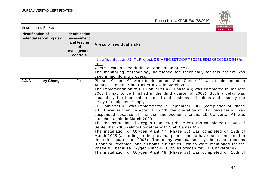

| <b>VERIFICATION REPORT</b>                           |                                                                                     | BUREAU<br><b>VERITAS</b>                                                                                                                                                                                                                                                                                                                                                                                                                                                                                                                                                                                                                                                                                                                                                                                                                                                                                                                                                                                                                                                                                                                                                                                                                                                           |  |
|------------------------------------------------------|-------------------------------------------------------------------------------------|------------------------------------------------------------------------------------------------------------------------------------------------------------------------------------------------------------------------------------------------------------------------------------------------------------------------------------------------------------------------------------------------------------------------------------------------------------------------------------------------------------------------------------------------------------------------------------------------------------------------------------------------------------------------------------------------------------------------------------------------------------------------------------------------------------------------------------------------------------------------------------------------------------------------------------------------------------------------------------------------------------------------------------------------------------------------------------------------------------------------------------------------------------------------------------------------------------------------------------------------------------------------------------|--|
| <b>Identification of</b><br>potential reporting risk | Identification,<br>assessment<br>and testing<br><b>of</b><br>management<br>controls | Areas of residual risks                                                                                                                                                                                                                                                                                                                                                                                                                                                                                                                                                                                                                                                                                                                                                                                                                                                                                                                                                                                                                                                                                                                                                                                                                                                            |  |
|                                                      |                                                                                     | http://ji.unfccc.int/JIITLProject/DB/V75OZ8TQOFTB325LEDMXE2628ZD548/de<br>tails<br>where it was placed during determination process.<br>The monitoring methodology developed for specifically for this project was<br>used in monitoring process.                                                                                                                                                                                                                                                                                                                                                                                                                                                                                                                                                                                                                                                                                                                                                                                                                                                                                                                                                                                                                                  |  |
| 2.2. Necessary Changes                               | Full                                                                                | Phases #1 and #2 were implemented: Slab Caster #1 was implemented in<br>August 2005 and Slab Caster # 2 - in March 2007.<br>The implementation of LD Converter #2 (Phase #3) was completed in January<br>2008 (it had to be finished in the third quarter of 2007). Such a delay was<br>caused by the financial, technical and customs difficulties and also by the<br>delay of equipment supply.<br>LD Converter #1 was implemented in September 2008 (completion of Phase<br>#4). However then, in about a month, the operation of LD Converter #1 was<br>suspended because of financial and economic crisis. LD Converter #1 was<br>launched again in March 2009.<br>The reconstruction of Oxygen Plant #4 (Phase #5) was completed on 30th of<br>September 2005 (almost together with Slab Caster #1).<br>The installation of Oxygen Plant #7 (Phase #6) was completed on 19th of<br>March 2008 (according to the previous plan it should have been completed in<br>the third quarter of 2007). The delay was caused by the same reasons<br>(financial, technical and customs difficulties), which were mentioned for the<br>Phase #3, because Oxygen Plant #7 supplies oxygen for LD Converter #2.<br>The installation of Oxygen Plant #8 (Phase #7) was completed on 10th of |  |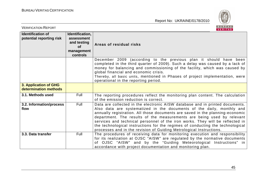

| <b>VERIFICATION REPORT</b>                           |                                                                                     | BUREAU<br><b>VERITAS</b>                                                                                                                                                                                                                                                                                                                                                                                                                                                                                                                                   |  |
|------------------------------------------------------|-------------------------------------------------------------------------------------|------------------------------------------------------------------------------------------------------------------------------------------------------------------------------------------------------------------------------------------------------------------------------------------------------------------------------------------------------------------------------------------------------------------------------------------------------------------------------------------------------------------------------------------------------------|--|
| <b>Identification of</b><br>potential reporting risk | Identification,<br>assessment<br>and testing<br><b>of</b><br>management<br>controls | Areas of residual risks                                                                                                                                                                                                                                                                                                                                                                                                                                                                                                                                    |  |
|                                                      |                                                                                     | December 2009 (according to the previous plan it should have been<br>completed in the third quarter of 2009). Such a delay was caused by a lack of<br>money for balancing and commissioning of the facility, which was caused by<br>global financial and economic crisis.<br>Thereby, all basic units, mentioned in Phases of project implementation, were<br>operational in the reporting period.                                                                                                                                                         |  |
| 3. Application of GHG<br>determination methods       |                                                                                     |                                                                                                                                                                                                                                                                                                                                                                                                                                                                                                                                                            |  |
| 3.1. Methods used                                    | Full                                                                                | The reporting procedures reflect the monitoring plan content. The calculation<br>of the emission reduction is correct.                                                                                                                                                                                                                                                                                                                                                                                                                                     |  |
| 3.2. Information/process<br>flow                     | Full                                                                                | Data are collected in the electronic AISW database and in printed documents.<br>Also data are systematized in the documents of the daily, monthly and<br>annually registration. All those documents are saved in the planning-economic<br>department. The results of the measurements are being used by relevant<br>services and technical personnel of the iron works. They will be reflected in<br>the technological instructions for the regimes of conducting the technological<br>processes and in the revision of Guiding Metrological Instructions. |  |
| 3.3. Data transfer                                   | Full                                                                                | The procedures of receiving data for monitoring execution and responsibility<br>for its realization at OJSC "AISW" are regulated by the normative documents<br>OJSC "AISW" and by the "Guiding Meteorological Instructions" in<br>0f.<br>accordance with project documentation and monitoring plan.                                                                                                                                                                                                                                                        |  |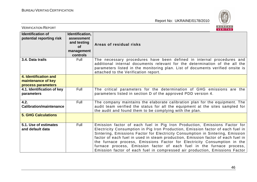

| <b>VERIFICATION REPORT</b>                                        |                                                                              | BUREAU<br><b>VERITAS</b>                                                                                                                                                                                                                                                                                                                                                                                                                                                                                                                                               |
|-------------------------------------------------------------------|------------------------------------------------------------------------------|------------------------------------------------------------------------------------------------------------------------------------------------------------------------------------------------------------------------------------------------------------------------------------------------------------------------------------------------------------------------------------------------------------------------------------------------------------------------------------------------------------------------------------------------------------------------|
| <b>Identification of</b><br>potential reporting risk              | Identification,<br>assessment<br>and testing<br>of<br>management<br>controls | Areas of residual risks                                                                                                                                                                                                                                                                                                                                                                                                                                                                                                                                                |
| 3.4. Data trails                                                  | Full                                                                         | The necessary procedures have been defined in internal procedures and<br>additional internal documents relevant for the determination of the all the<br>parameters listed in the monitoring plan. List of documents verified onsite is<br>attached to the Verification report.                                                                                                                                                                                                                                                                                         |
| 4. Identification and<br>maintenance of key<br>process parameters |                                                                              |                                                                                                                                                                                                                                                                                                                                                                                                                                                                                                                                                                        |
| 4.1. Identification of key<br>parameters                          | Full                                                                         | The critical parameters for the determination of GHG emissions are the<br>parameters listed in section D of the approved PDD version 4.                                                                                                                                                                                                                                                                                                                                                                                                                                |
| 4.2.<br><b>Calibration/maintenance</b>                            | Full                                                                         | The company maintains the elaborate calibration plan for the equipment. The<br>audit team verified the status for all the equipment at the sites sampled for<br>the audit and found them to be complying with the plan.                                                                                                                                                                                                                                                                                                                                                |
| <b>5. GHG Calculations</b>                                        |                                                                              |                                                                                                                                                                                                                                                                                                                                                                                                                                                                                                                                                                        |
| 5.1. Use of estimates<br>and default data                         | <b>Full</b>                                                                  | Emission factor of each fuel in Pig Iron Production, Emissions Factor for<br>Electricity Consumption in Pig Iron Production, Emission factor of each fuel in<br>Sintering, Emissions Factor for Electricity Consumption in Sintering, Emission<br>factor of each fuel in used in steam production, Emission factor of each fuel in<br>the furnace process, Emissions Factor for Electricity Consumption in the<br>furnace process, Emission factor of each fuel in the furnace process,<br>Emission factor of each fuel in compressed air production, Emissions Factor |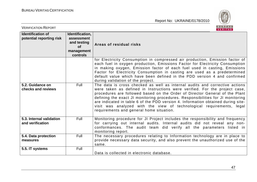

| <b>VERIFICATION REPORT</b>                           |                                                                                     | BUREAU<br>VERITAS                                                                                                                                                                                                                                                                                                                                                                                                                                                                                                                    |
|------------------------------------------------------|-------------------------------------------------------------------------------------|--------------------------------------------------------------------------------------------------------------------------------------------------------------------------------------------------------------------------------------------------------------------------------------------------------------------------------------------------------------------------------------------------------------------------------------------------------------------------------------------------------------------------------------|
| <b>Identification of</b><br>potential reporting risk | Identification,<br>assessment<br>and testing<br><b>of</b><br>management<br>controls | Areas of residual risks                                                                                                                                                                                                                                                                                                                                                                                                                                                                                                              |
|                                                      |                                                                                     | for Electricity Consumption in compressed air production, Emission factor of<br>each fuel in oxygen production, Emissions Factor for Electricity Consumption<br>in making oxygen, Emission factor of each fuel used in casting, Emissions<br>Factor for Electricity Consumption in casting are used as a predetermined<br>default value which have been defined in the PDD version 4 and confirmed<br>during validation of the project.                                                                                              |
| 5.2. Guidance on<br>checks and reviews               | Full                                                                                | The data is cross checked as well as internal audits and corrective actions<br>were taken as defined in Instructions were verified. For the project case,<br>procedures are followed based on the Order of Director General of the Plant<br>defining the exact JI monitoring procedures. Responsibilities for JI monitoring<br>are indicated in table 6 of the PDD version 4. Information obtained during site-<br>visit was analyzed with the view of technological requirements, legal<br>requirements and general home situation. |
| 5.3. Internal validation<br>and verification         | Full                                                                                | Monitoring procedure for JI Project includes the responsibility and frequency<br>for carrying out internal audits. Internal audits did not reveal any non-<br>conformances. The audit team did verify all the parameters listed in<br>monitoring report.                                                                                                                                                                                                                                                                             |
| 5.4. Data protection<br>measures                     | Full                                                                                | The necessary procedures relating to Information technology are in place to<br>provide necessary data security, and also prevent the unauthorized use of the<br>same.                                                                                                                                                                                                                                                                                                                                                                |
| 5.5. IT systems                                      | Full                                                                                | Data is collected in electronic database.                                                                                                                                                                                                                                                                                                                                                                                                                                                                                            |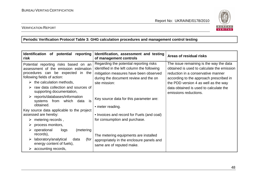

#### VERIFICATION REPORT

**Periodic Verification Protocol Table 3: GHG calculation procedures and management control testing** 

| Identification of potential<br>reporting<br>risk                                         | Identification, assessment and testing<br>of management controls | Areas of residual risks                    |
|------------------------------------------------------------------------------------------|------------------------------------------------------------------|--------------------------------------------|
| Potential reporting risks based on an                                                    | Regarding the potential reporting risks                          | The issue remaining is the way the data    |
| assessment of the emission estimation                                                    | identified in the left column the following                      | obtained is used to calculate the emission |
| procedures can be expected in the                                                        | mitigation measures have been observed                           | reduction in a conservative manner         |
| following fields of action:                                                              | during the document review and the on                            | according to the approach prescribed in    |
| the calculation methods,<br>➤                                                            | site mission:                                                    | the PDD version 4 as well as the way       |
| raw data collection and sources of                                                       |                                                                  | data obtained is used to calculate the     |
| supporting documentation,                                                                |                                                                  | emissions reductions.                      |
| $\triangleright$ reports/databases/information<br>is<br>systems<br>from<br>which<br>data | Key source data for this parameter are:                          |                                            |
| obtained.                                                                                | • meter reading.                                                 |                                            |
| Key source data applicable to the project                                                |                                                                  |                                            |
| assessed are hereby:                                                                     | • Invoices and record for Fuels (and coal)                       |                                            |
| metering records,<br>➤                                                                   | for consumption and purchase.                                    |                                            |
| process monitors,<br>➤                                                                   |                                                                  |                                            |
| operational<br>(metering<br>logs<br>➤                                                    |                                                                  |                                            |
| records),                                                                                | The metering equipments are installed                            |                                            |
| laboratory/analytical<br>data<br>(for                                                    | appropriately in the enclosure panels and                        |                                            |
| energy content of fuels),                                                                | same are of reputed make.                                        |                                            |
| accounting records,                                                                      |                                                                  |                                            |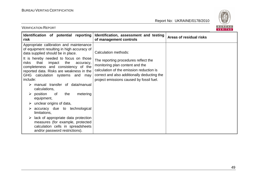VERIFICATION REPORT



| Identification of potential reporting<br>risk                                                                                                                                                                                                                                                                                                                                                                                                                                                                                                                                                                                                                                                                                  | Identification, assessment and testing<br>of management controls                                                                                                                                                                       | Areas of residual risks |
|--------------------------------------------------------------------------------------------------------------------------------------------------------------------------------------------------------------------------------------------------------------------------------------------------------------------------------------------------------------------------------------------------------------------------------------------------------------------------------------------------------------------------------------------------------------------------------------------------------------------------------------------------------------------------------------------------------------------------------|----------------------------------------------------------------------------------------------------------------------------------------------------------------------------------------------------------------------------------------|-------------------------|
| Appropriate calibration and maintenance<br>of equipment resulting in high accuracy of<br>data supplied should be in place.<br>It is hereby needed to focus on those<br>that<br>risks<br>impact<br>the<br>accuracy,<br>completeness and consistency of the<br>reported data. Risks are weakness in the<br>GHG calculation systems and<br>may<br>include:<br>manual transfer of data/manual<br>calculations,<br>$\triangleright$ position<br>metering<br>of<br>the<br>equipment,<br>$\triangleright$ unclear origins of data,<br>accuracy due to technological<br>limitations,<br>lack of appropriate data protection<br>measures (for example, protected<br>calculation cells in spreadsheets<br>and/or password restrictions). | Calculation methods:<br>The reporting procedures reflect the<br>monitoring plan content and the<br>calculation of the emission reduction is<br>correct and also additionally deducting the<br>project emissions caused by fossil fuel. |                         |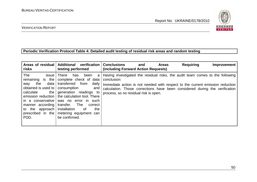

#### VERIFICATION REPORT

#### **Periodic Verification Protocol Table 4: Detailed audit testing of residual risk areas and random testing**

| Areas of residual<br>risks                                                                                                                                                                 | <b>Additional</b><br>verification<br>testing performed                                                                                                                                                                                                                                                                         | <b>Requiring</b><br><b>Conclusions</b><br><b>Areas</b><br>Improvement<br>and<br>(including Forward Action Requests)                                                                                                                                                                                   |
|--------------------------------------------------------------------------------------------------------------------------------------------------------------------------------------------|--------------------------------------------------------------------------------------------------------------------------------------------------------------------------------------------------------------------------------------------------------------------------------------------------------------------------------|-------------------------------------------------------------------------------------------------------------------------------------------------------------------------------------------------------------------------------------------------------------------------------------------------------|
| The<br>issue<br>remaining is the<br>data<br>the<br>way<br>obtained is used to<br>the<br>calculate<br>in a conservative<br>manner according<br>to the approach<br>prescribed in the<br>PDD. | <b>There</b><br>has<br>been<br>a<br>complete check of data<br>transferred<br>daily<br>from<br>consumption<br>and<br>generation readings to<br>emission reduction   the calculation tool. There<br>was no error in such<br>transfer.<br>The<br>correct<br>installation<br>the<br>of.<br>metering equipment can<br>be confirmed. | Having investigated the residual risks, the audit team comes to the following<br>conclusion:<br>Immediate action is not needed with respect to the current emission reduction<br>calculation. Those corrections have been considered during the verification<br>process, so no residual risk is open. |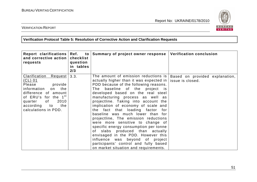

VERIFICATION REPORT

**Verification Protocol Table 5: Resolution of Corrective Action and Clarification Requests** 

| Report clarifications<br>and corrective action<br>requests                                                                                                                                                               | Ref.<br>$\mathsf{to}$<br>checklist<br>question<br>in tables<br>2/3 | Summary of project owner response                                                                                                                                                                                                                                                                                                                                                                                                                                                                                                                                                                                                                                                                                            | <b>Verification conclusion</b>                     |
|--------------------------------------------------------------------------------------------------------------------------------------------------------------------------------------------------------------------------|--------------------------------------------------------------------|------------------------------------------------------------------------------------------------------------------------------------------------------------------------------------------------------------------------------------------------------------------------------------------------------------------------------------------------------------------------------------------------------------------------------------------------------------------------------------------------------------------------------------------------------------------------------------------------------------------------------------------------------------------------------------------------------------------------------|----------------------------------------------------|
| Clarification<br>Request<br>(CL) 01<br>Please<br>provide<br>information<br>on<br>the<br>difference of amount<br>of ERU's for the 1 <sup>st</sup><br>of<br>2010<br>quarter<br>according to<br>the<br>calculations in PDD. | 3.3.                                                               | The amount of emission reductions is  <br>actually higher than it was expected in  <br>PDD because of the following reasons.<br>baseline of the project is<br>The<br>developed based on the real steel<br>manufacturing process as well as<br>projectline. Taking into account the<br>implication of economy of scale and<br>the fact that loading factor<br>tor –<br>baseline was much lower than for<br>projectline, The emission reductions<br>were more sensitive to change of<br>specific energy consumption per tonne<br>of slabs produced than actually<br>envisaged in the PDD. However this<br>influence was beyond of<br>project<br>participants' control and fully based<br>on market situation and requirements. | Based on provided explanation,<br>issue is closed. |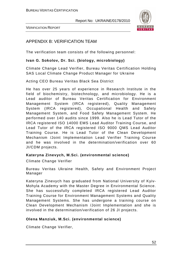

# APPENDIX B: VERIFICATION TEAM

The verification team consists of the following personnel:

#### **Ivan G. Sokolov, Dr. Sci. (biology, microbiology)**

Climate Change Lead Verifier, Bureau Veritas Certification Holding SAS Local Climate Change Product Manager for Ukraine

Acting CEO Bureau Veritas Black Sea District

He has over 25 years of experience in Research Institute in the field of biochemistry, biotechnology, and microbiology. He is a Lead auditor of Bureau Veritas Certification for Environment Management System (IRCA registered), Quality Management System (IRCA registered), Occupational Health and Safety Management System, and Food Safety Management System. He performed over 140 audits since 1999. Also he is Lead Tutor of the IRCA registered ISO 14000 EMS Lead Auditor Training Course, and Lead Tutor of the IRCA registered ISO 9000 QMS Lead Auditor Training Course. He is Lead Tutor of the Clean Development Mechanism /Joint Implementation Lead Verifier Training Course and he was involved in the determination/verification over 60 JI/CDM projects.

#### **Kateryna Zinevych, M.Sci. (environmental science)**

Climate Change Verifier

Bureau Veritas Ukraine Health, Safety and Environment Project Manager

Kateryna Zinevych has graduated from National University of Kyiv-Mohyla Academy with the Master Degree in Environmental Science. She has successfully completed IRCA registered Lead Auditor Training Course for Environment Management Systems and Quality Management Systems. She has undergone a training course on Clean Development Mechanism /Joint Implementation and she is involved in the determination/verification of 26 JI projects.

#### **Olena Manziuk, M.Sci. (environmental science)**

Climate Change Verifier,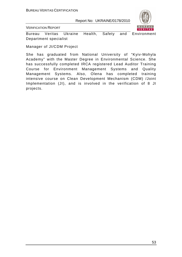

VERIFICATION REPORT

Bureau Veritas Ukraine Health, Safety and Environment Department specialist

Manager of JI/CDM Project

She has graduated from National University of "Kyiv-Mohyla Academy" with the Master Degree in Environmental Science. She has successfully completed IRCA registered Lead Auditor Training Course for Environment Management Systems and Quality Management Systems. Also, Olena has completed training intensive course on Clean Development Mechanism (CDM) /Joint Implementation (JI), and is involved in the verification of 8 JI projects.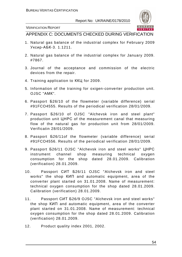VERIFICATION REPORT

APPENDIX C: DOCUMENTS CHECKED DURING VERIFICATION

- 1. Natural gas balance of the industrial complex for February 2009 Уксир-АБК-3. 1.1211.
- 2. Natural gas balance of the industrial complex for January 2009. #7867.
- 3. Journal of the acceptance and commission of the electric devices from the repair.
- 4. Training application to ККЦ for 2009.
- 5. Information of the training for oxigen-converter production unit. OJSC "АМК".
- 6. Passport Б26/10 of the flowmeter (variable difference) serial #91FCO4555. Results of the periodical verification 28/01/2009.
- 7. Passport Б26/10 of OJSC "Alchevsk iron and steel plant" production unit ЦНРС of the measurement canal that measuring flow of the natural gas for production unit from 28/01/2009. Verificatin 28/01/2009.
- 8. Passport Б26/11of the flowmeter (variable difference) serial #91FCO4556. Results of the periodical verification 28/01/2009.
- 9. Passport Б26/11 OJSC "Alchevsk iron and steel works" ЦНРС instrument channel shop measuring technical oxygen consumption for the shop dated 28.01.2009. Calibration (verification) 28.01.2009.
- 10. Passport СИТ Б26/11 OJSC "Alchevsk iron and steel works" the shop КИП and automatic equipment, area of the converter plant started on 31.01.2008. Name of measurement: technical oxygen consumption for the shop dated 28.01.2009. Calibration (verification) 28.01.2009.
- 11. Passport СИТ Б26/9 OJSC "Alchevsk iron and steel works" the shop КИП and automatic equipment, area of the converter plant started on 31.01.2008. Name of measurement: technical oxygen consumption for the shop dated 28.01.2009. Calibration (verification) 28.01.2009.
- 12. Product quality index 2001, 2002.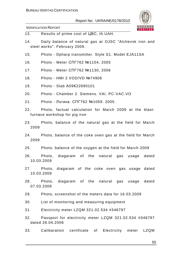

- 13. Results of prime cost of ЦВС, th.UAH.
- 14. Daily balance of natural gas at OJSC "Alchevsk iron and steel works". February 2009.
- 15. Photo Dpharp transmitter. Style S1. Model EJA11SA
- 16. Photo Meter СПГ762 №1104, 2005
- 17. Photo Meter СПГ762 №1130, 2006
- 18. Photo HMI 2 VOD/VD №74906
- 19. Photo Slab А09К22690101
- 20. Photo Chamber 2. Siemens. VAI. PC-VAC.VO
- 21. Photo Ло гика. СПГ762 №1059. 2005.
- 22. Photo, factual calculation for March 2009 at the blastfurnace workshop for pig iron
- 23. Photo, balance of the natural gas at the field for March 2009
- 24. Photo, balance of the coke oven gas at the field for March 2009
- 25. Photo, balance of the oxygen at the field for March 2009
- 26. Photo, diagaram of the natural gas usage dated 10.03.2009
- 27. Photo, diagaram of the coke oven gas usage dated 10.03.2009
- 28. Photo, diagaram of the natural gas usage dated 07.03.2009
- 29. Photo, screenshot of the meters data for 16.03.2009
- 30. List of monitoring and measuring equipment
- 31. Electricity meter LZQM 321.02.534 #346797
- 32. Passport for electricity meter LZQM 321.02.534 #346797 dated 26.04.2006
- 33. Calibaration certificate of Electricity meter LZQM